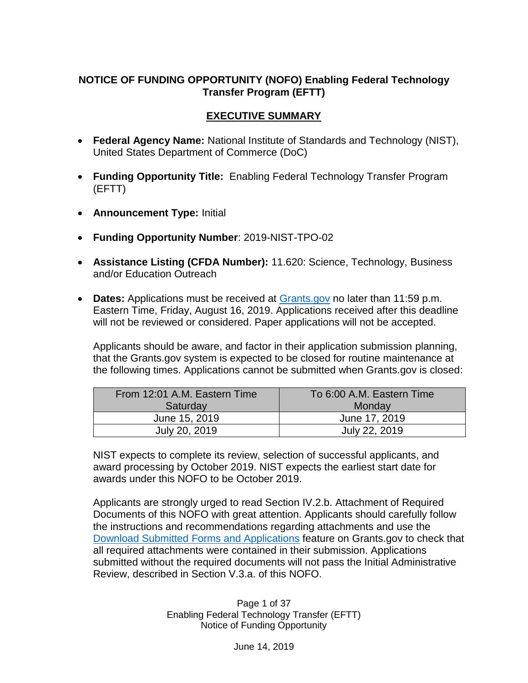### **NOTICE OF FUNDING OPPORTUNITY (NOFO) Enabling Federal Technology Transfer Program (EFTT)**

### **EXECUTIVE SUMMARY**

- **Federal Agency Name:** National Institute of Standards and Technology (NIST), United States Department of Commerce (DoC)
- **Funding Opportunity Title:** Enabling Federal Technology Transfer Program (EFTT)
- **Announcement Type:** Initial
- **Funding Opportunity Number**: 2019-NIST-TPO-02
- **Assistance Listing (CFDA Number):** 11.620: Science, Technology, Business and/or Education Outreach
- **Dates:** Applications must be received at [Grants.gov](https://www.grants.gov/) no later than 11:59 p.m. Eastern Time, Friday, August 16, 2019. Applications received after this deadline will not be reviewed or considered. Paper applications will not be accepted.

Applicants should be aware, and factor in their application submission planning, that the Grants.gov system is expected to be closed for routine maintenance at the following times. Applications cannot be submitted when Grants.gov is closed:

| From 12:01 A.M. Eastern Time | To 6:00 A.M. Eastern Time |
|------------------------------|---------------------------|
| Saturday                     | Monday                    |
| June 15, 2019                | June 17, 2019             |
| July 20, 2019                | July 22, 2019             |

NIST expects to complete its review, selection of successful applicants, and award processing by October 2019. NIST expects the earliest start date for awards under this NOFO to be October 2019.

Applicants are strongly urged to read Section IV.2.b. Attachment of Required Documents of this NOFO with great attention. Applicants should carefully follow the instructions and recommendations regarding attachments and use the [Download Submitted Forms and Applications](https://apply07.grants.gov/help/html/help/index.htm#t=Applicants%2FCheckApplicationStatus%2FDownloadSubmittedFormsAndApplications.htm) feature on Grants.gov to check that all required attachments were contained in their submission. Applications submitted without the required documents will not pass the Initial Administrative Review, described in Section V.3.a. of this NOFO.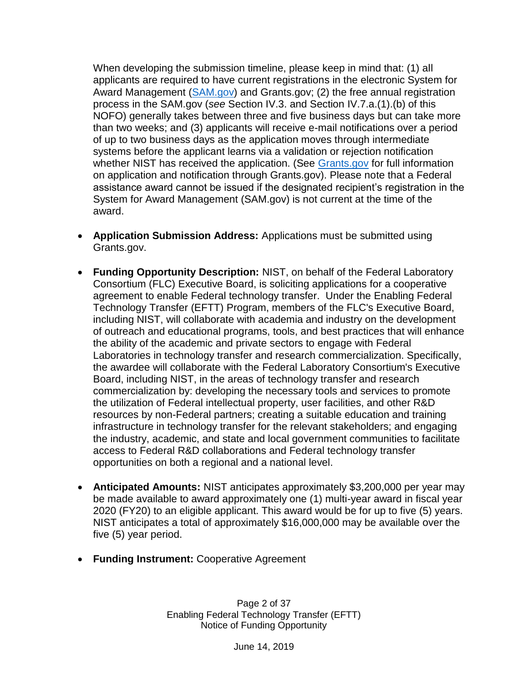When developing the submission timeline, please keep in mind that: (1) all applicants are required to have current registrations in the electronic System for Award Management [\(SAM.gov\)](https://www.sam.gov/SAM/) and Grants.gov; (2) the free annual registration process in the SAM.gov (*see* Section IV.3. and Section IV.7.a.(1).(b) of this NOFO) generally takes between three and five business days but can take more than two weeks; and (3) applicants will receive e-mail notifications over a period of up to two business days as the application moves through intermediate systems before the applicant learns via a validation or rejection notification whether NIST has received the application. (See [Grants.gov](http://grants.gov/) for full information on application and notification through Grants.gov). Please note that a Federal assistance award cannot be issued if the designated recipient's registration in the System for Award Management (SAM.gov) is not current at the time of the award.

- **Application Submission Address:** Applications must be submitted using Grants.gov.
- **Funding Opportunity Description:** NIST, on behalf of the Federal Laboratory Consortium (FLC) Executive Board, is soliciting applications for a cooperative agreement to enable Federal technology transfer. Under the Enabling Federal Technology Transfer (EFTT) Program, members of the FLC's Executive Board, including NIST, will collaborate with academia and industry on the development of outreach and educational programs, tools, and best practices that will enhance the ability of the academic and private sectors to engage with Federal Laboratories in technology transfer and research commercialization. Specifically, the awardee will collaborate with the Federal Laboratory Consortium's Executive Board, including NIST, in the areas of technology transfer and research commercialization by: developing the necessary tools and services to promote the utilization of Federal intellectual property, user facilities, and other R&D resources by non-Federal partners; creating a suitable education and training infrastructure in technology transfer for the relevant stakeholders; and engaging the industry, academic, and state and local government communities to facilitate access to Federal R&D collaborations and Federal technology transfer opportunities on both a regional and a national level.
- **Anticipated Amounts:** NIST anticipates approximately \$3,200,000 per year may be made available to award approximately one (1) multi-year award in fiscal year 2020 (FY20) to an eligible applicant. This award would be for up to five (5) years. NIST anticipates a total of approximately \$16,000,000 may be available over the five (5) year period.
- **Funding Instrument:** Cooperative Agreement

Page 2 of 37 Enabling Federal Technology Transfer (EFTT) Notice of Funding Opportunity

June 14, 2019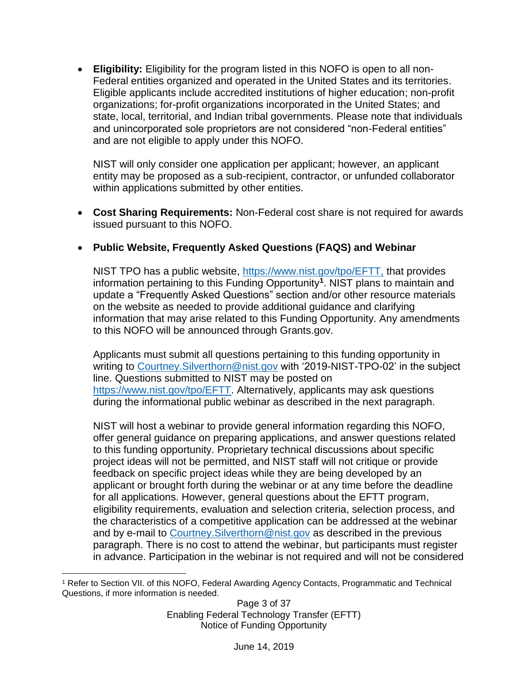• **Eligibility:** Eligibility for the program listed in this NOFO is open to all non-Federal entities organized and operated in the United States and its territories. Eligible applicants include accredited institutions of higher education; non-profit organizations; for-profit organizations incorporated in the United States; and state, local, territorial, and Indian tribal governments. Please note that individuals and unincorporated sole proprietors are not considered "non-Federal entities" and are not eligible to apply under this NOFO.

NIST will only consider one application per applicant; however, an applicant entity may be proposed as a sub-recipient, contractor, or unfunded collaborator within applications submitted by other entities.

• **Cost Sharing Requirements:** Non-Federal cost share is not required for awards issued pursuant to this NOFO.

### • **Public Website, Frequently Asked Questions (FAQS) and Webinar**

NIST TPO has a public website, [https://www.nist.gov/tpo/EFTT,](https://www.nist.gov/tpo/EFTT) that provides information pertaining to this Funding Opportunity**<sup>1</sup>** . NIST plans to maintain and update a "Frequently Asked Questions" section and/or other resource materials on the website as needed to provide additional guidance and clarifying information that may arise related to this Funding Opportunity. Any amendments to this NOFO will be announced through Grants.gov.

Applicants must submit all questions pertaining to this funding opportunity in writing to [Courtney.Silverthorn@nist.gov](mailto:Courtney.Silverthorn@nist.gov) with '2019-NIST-TPO-02' in the subject line. Questions submitted to NIST may be posted on [https://www.nist.gov/tpo/EFTT.](https://www.nist.gov/tpo/EFTT) Alternatively, applicants may ask questions during the informational public webinar as described in the next paragraph.

NIST will host a webinar to provide general information regarding this NOFO, offer general guidance on preparing applications, and answer questions related to this funding opportunity. Proprietary technical discussions about specific project ideas will not be permitted, and NIST staff will not critique or provide feedback on specific project ideas while they are being developed by an applicant or brought forth during the webinar or at any time before the deadline for all applications. However, general questions about the EFTT program, eligibility requirements, evaluation and selection criteria, selection process, and the characteristics of a competitive application can be addressed at the webinar and by e-mail to [Courtney.Silverthorn@nist.gov](mailto:Courtney.Silverthorn@nist.gov) as described in the previous paragraph. There is no cost to attend the webinar, but participants must register in advance. Participation in the webinar is not required and will not be considered

 $\overline{a}$ <sup>1</sup> Refer to Section VII. of this NOFO, Federal Awarding Agency Contacts, Programmatic and Technical Questions, if more information is needed.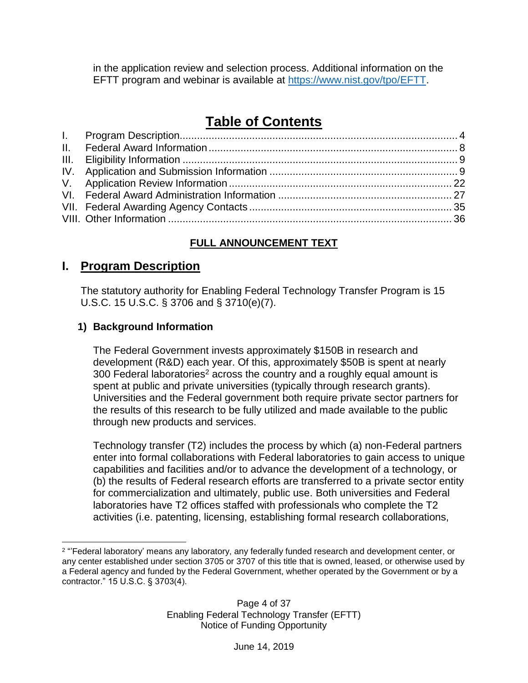in the application review and selection process. Additional information on the EFTT program and webinar is available at [https://www.nist.gov/tpo/EFTT.](https://www.nist.gov/tpo/ftt-CA)

# **Table of Contents**

# **FULL ANNOUNCEMENT TEXT**

# <span id="page-3-0"></span>**I. Program Description**

The statutory authority for Enabling Federal Technology Transfer Program is 15 U.S.C. 15 U.S.C. § 3706 and § 3710(e)(7).

### **1) Background Information**

The Federal Government invests approximately \$150B in research and development (R&D) each year. Of this, approximately \$50B is spent at nearly 300 Federal laboratories<sup>2</sup> across the country and a roughly equal amount is spent at public and private universities (typically through research grants). Universities and the Federal government both require private sector partners for the results of this research to be fully utilized and made available to the public through new products and services.

Technology transfer (T2) includes the process by which (a) non-Federal partners enter into formal collaborations with Federal laboratories to gain access to unique capabilities and facilities and/or to advance the development of a technology, or (b) the results of Federal research efforts are transferred to a private sector entity for commercialization and ultimately, public use. Both universities and Federal laboratories have T2 offices staffed with professionals who complete the T2 activities (i.e. patenting, licensing, establishing formal research collaborations,

 $\overline{a}$ <sup>2</sup> "'Federal laboratory' means any laboratory, any federally funded research and development center, or any center established under section 3705 or 3707 of this title that is owned, leased, or otherwise used by a Federal agency and funded by the Federal Government, whether operated by the Government or by a contractor." 15 U.S.C. § 3703(4).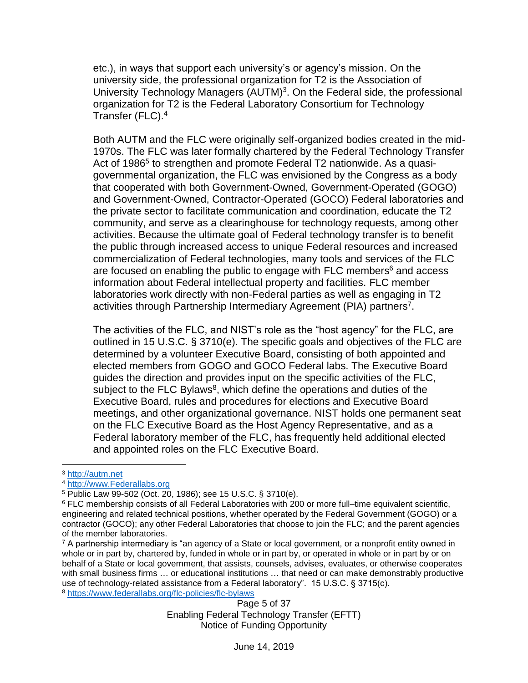etc.), in ways that support each university's or agency's mission. On the university side, the professional organization for T2 is the Association of University Technology Managers (AUTM)<sup>3</sup>. On the Federal side, the professional organization for T2 is the Federal Laboratory Consortium for Technology Transfer (FLC).<sup>4</sup>

Both AUTM and the FLC were originally self-organized bodies created in the mid-1970s. The FLC was later formally chartered by the Federal Technology Transfer Act of 1986<sup>5</sup> to strengthen and promote Federal T2 nationwide. As a quasigovernmental organization, the FLC was envisioned by the Congress as a body that cooperated with both Government-Owned, Government-Operated (GOGO) and Government-Owned, Contractor-Operated (GOCO) Federal laboratories and the private sector to facilitate communication and coordination, educate the T2 community, and serve as a clearinghouse for technology requests, among other activities. Because the ultimate goal of Federal technology transfer is to benefit the public through increased access to unique Federal resources and increased commercialization of Federal technologies, many tools and services of the FLC are focused on enabling the public to engage with FLC members $6$  and access information about Federal intellectual property and facilities. FLC member laboratories work directly with non-Federal parties as well as engaging in T2 activities through Partnership Intermediary Agreement (PIA) partners<sup>7</sup>.

The activities of the FLC, and NIST's role as the "host agency" for the FLC, are outlined in 15 U.S.C. § 3710(e). The specific goals and objectives of the FLC are determined by a volunteer Executive Board, consisting of both appointed and elected members from GOGO and GOCO Federal labs. The Executive Board guides the direction and provides input on the specific activities of the FLC, subject to the FLC Bylaws<sup>8</sup>, which define the operations and duties of the Executive Board, rules and procedures for elections and Executive Board meetings, and other organizational governance. NIST holds one permanent seat on the FLC Executive Board as the Host Agency Representative, and as a Federal laboratory member of the FLC, has frequently held additional elected and appointed roles on the FLC Executive Board.

 $\overline{a}$ 

Page 5 of 37 Enabling Federal Technology Transfer (EFTT) Notice of Funding Opportunity

<sup>3</sup> [http://autm.net](http://autm.net/)

<sup>4</sup> [http://www.Federallabs.org](http://www.federallabs.org/)

<sup>5</sup> Public Law 99-502 (Oct. 20, 1986); see 15 U.S.C. § 3710(e).

<sup>6</sup> FLC membership consists of all Federal Laboratories with 200 or more full–time equivalent scientific, engineering and related technical positions, whether operated by the Federal Government (GOGO) or a contractor (GOCO); any other Federal Laboratories that choose to join the FLC; and the parent agencies of the member laboratories.

 $7$  A partnership intermediary is "an agency of a State or local government, or a nonprofit entity owned in whole or in part by, chartered by, funded in whole or in part by, or operated in whole or in part by or on behalf of a State or local government, that assists, counsels, advises, evaluates, or otherwise cooperates with small business firms … or educational institutions … that need or can make demonstrably productive use of technology-related assistance from a Federal laboratory". 15 U.S.C. § 3715(c). <sup>8</sup> <https://www.federallabs.org/flc-policies/flc-bylaws>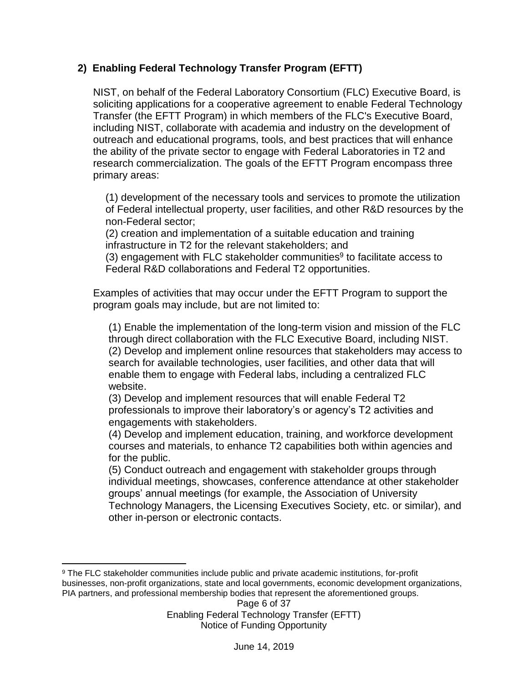### **2) Enabling Federal Technology Transfer Program (EFTT)**

NIST, on behalf of the Federal Laboratory Consortium (FLC) Executive Board, is soliciting applications for a cooperative agreement to enable Federal Technology Transfer (the EFTT Program) in which members of the FLC's Executive Board, including NIST, collaborate with academia and industry on the development of outreach and educational programs, tools, and best practices that will enhance the ability of the private sector to engage with Federal Laboratories in T2 and research commercialization. The goals of the EFTT Program encompass three primary areas:

(1) development of the necessary tools and services to promote the utilization of Federal intellectual property, user facilities, and other R&D resources by the non-Federal sector;

(2) creation and implementation of a suitable education and training infrastructure in T2 for the relevant stakeholders; and

 $(3)$  engagement with FLC stakeholder communities $9$  to facilitate access to Federal R&D collaborations and Federal T2 opportunities.

Examples of activities that may occur under the EFTT Program to support the program goals may include, but are not limited to:

(1) Enable the implementation of the long-term vision and mission of the FLC through direct collaboration with the FLC Executive Board, including NIST. (2) Develop and implement online resources that stakeholders may access to search for available technologies, user facilities, and other data that will enable them to engage with Federal labs, including a centralized FLC website.

(3) Develop and implement resources that will enable Federal T2 professionals to improve their laboratory's or agency's T2 activities and engagements with stakeholders.

(4) Develop and implement education, training, and workforce development courses and materials, to enhance T2 capabilities both within agencies and for the public.

(5) Conduct outreach and engagement with stakeholder groups through individual meetings, showcases, conference attendance at other stakeholder groups' annual meetings (for example, the Association of University Technology Managers, the Licensing Executives Society, etc. or similar), and other in-person or electronic contacts.

 $\overline{a}$ <sup>9</sup> The FLC stakeholder communities include public and private academic institutions, for-profit businesses, non-profit organizations, state and local governments, economic development organizations, PIA partners, and professional membership bodies that represent the aforementioned groups.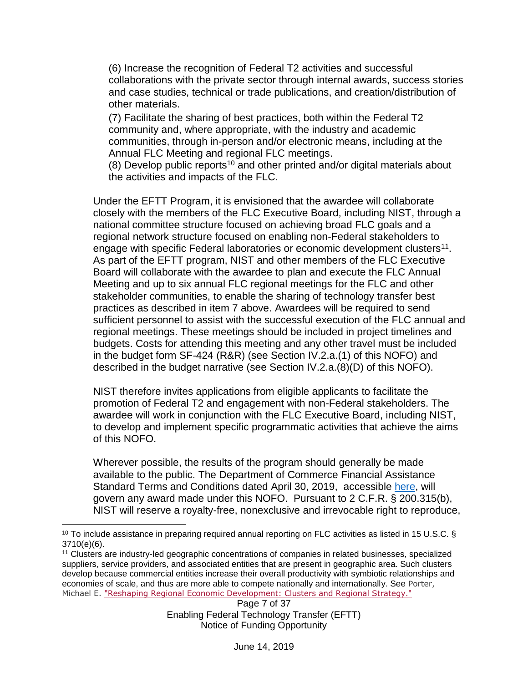(6) Increase the recognition of Federal T2 activities and successful collaborations with the private sector through internal awards, success stories and case studies, technical or trade publications, and creation/distribution of other materials.

(7) Facilitate the sharing of best practices, both within the Federal T2 community and, where appropriate, with the industry and academic communities, through in-person and/or electronic means, including at the Annual FLC Meeting and regional FLC meetings.

(8) Develop public reports<sup>10</sup> and other printed and/or digital materials about the activities and impacts of the FLC.

Under the EFTT Program, it is envisioned that the awardee will collaborate closely with the members of the FLC Executive Board, including NIST, through a national committee structure focused on achieving broad FLC goals and a regional network structure focused on enabling non-Federal stakeholders to engage with specific Federal laboratories or economic development clusters<sup>11</sup>. As part of the EFTT program, NIST and other members of the FLC Executive Board will collaborate with the awardee to plan and execute the FLC Annual Meeting and up to six annual FLC regional meetings for the FLC and other stakeholder communities, to enable the sharing of technology transfer best practices as described in item 7 above. Awardees will be required to send sufficient personnel to assist with the successful execution of the FLC annual and regional meetings. These meetings should be included in project timelines and budgets. Costs for attending this meeting and any other travel must be included in the budget form SF-424 (R&R) (see Section IV.2.a.(1) of this NOFO) and described in the budget narrative (see Section IV.2.a.(8)(D) of this NOFO).

NIST therefore invites applications from eligible applicants to facilitate the promotion of Federal T2 and engagement with non-Federal stakeholders. The awardee will work in conjunction with the FLC Executive Board, including NIST, to develop and implement specific programmatic activities that achieve the aims of this NOFO.

Wherever possible, the results of the program should generally be made available to the public. The Department of Commerce Financial Assistance Standard Terms and Conditions dated April 30, 2019, accessible [here,](http://www.osec.doc.gov/oam/grants_management/policy/documents/Department%20of%20Commerce%20Standard%20Terms%20Conditions%2030%20April%202019.pdf) will govern any award made under this NOFO. Pursuant to 2 C.F.R. § 200.315(b), NIST will reserve a royalty-free, nonexclusive and irrevocable right to reproduce,

 $\overline{a}$ 

 $10$  To include assistance in preparing required annual reporting on FLC activities as listed in 15 U.S.C. § 3710(e)(6).

<sup>11</sup> Clusters are industry-led geographic concentrations of companies in related businesses, specialized suppliers, service providers, and associated entities that are present in geographic area. Such clusters develop because commercial entities increase their overall productivity with symbiotic relationships and economies of scale, and thus are more able to compete nationally and internationally. See Porter, Michael E. ["Reshaping Regional Economic Development: Clusters and Regional Strategy."](http://www.hbs.edu/faculty/Pages/download.aspx?name=20140926-US%20Cluster%20Mapping%20Launch-%20FINAL%20FOR%20POSTING.pdf)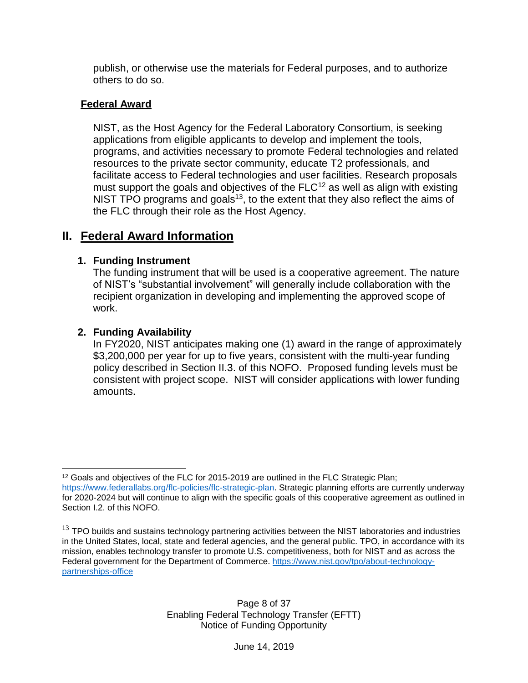publish, or otherwise use the materials for Federal purposes, and to authorize others to do so.

#### **Federal Award**

NIST, as the Host Agency for the Federal Laboratory Consortium, is seeking applications from eligible applicants to develop and implement the tools, programs, and activities necessary to promote Federal technologies and related resources to the private sector community, educate T2 professionals, and facilitate access to Federal technologies and user facilities. Research proposals must support the goals and objectives of the FLC<sup>12</sup> as well as align with existing NIST TPO programs and goals<sup>13</sup>, to the extent that they also reflect the aims of the FLC through their role as the Host Agency.

# <span id="page-7-0"></span>**II. Federal Award Information**

#### **1. Funding Instrument**

The funding instrument that will be used is a cooperative agreement. The nature of NIST's "substantial involvement" will generally include collaboration with the recipient organization in developing and implementing the approved scope of work.

### **2. Funding Availability**

In FY2020, NIST anticipates making one (1) award in the range of approximately \$3,200,000 per year for up to five years, consistent with the multi-year funding policy described in Section II.3. of this NOFO. Proposed funding levels must be consistent with project scope. NIST will consider applications with lower funding amounts.

 $\overline{a}$  $12$  Goals and objectives of the FLC for 2015-2019 are outlined in the FLC Strategic Plan; [https://www.federallabs.org/flc-policies/flc-strategic-plan.](https://www.federallabs.org/flc-policies/flc-strategic-plan) Strategic planning efforts are currently underway for 2020-2024 but will continue to align with the specific goals of this cooperative agreement as outlined in Section I.2. of this NOFO.

 $13$  TPO builds and sustains technology partnering activities between the NIST laboratories and industries in the United States, local, state and federal agencies, and the general public. TPO, in accordance with its mission, enables technology transfer to promote U.S. competitiveness, both for NIST and as across the Federal government for the Department of Commerce. [https://www.nist.gov/tpo/about-technology](https://www.nist.gov/tpo/about-technology-partnerships-office)[partnerships-office](https://www.nist.gov/tpo/about-technology-partnerships-office)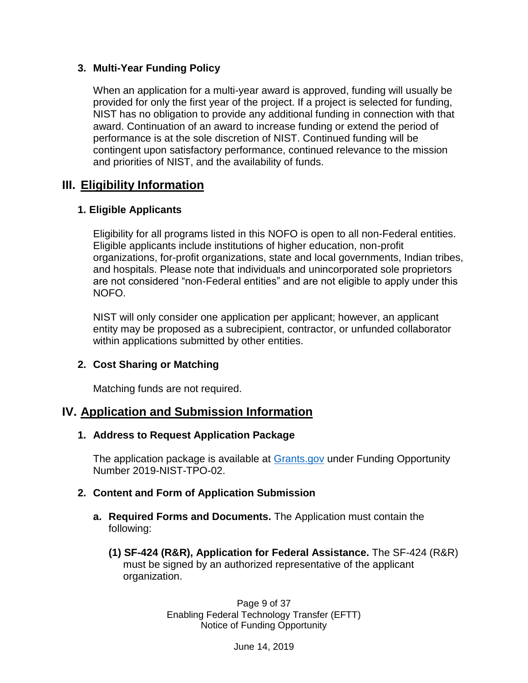#### **3. Multi-Year Funding Policy**

When an application for a multi-year award is approved, funding will usually be provided for only the first year of the project. If a project is selected for funding, NIST has no obligation to provide any additional funding in connection with that award. Continuation of an award to increase funding or extend the period of performance is at the sole discretion of NIST. Continued funding will be contingent upon satisfactory performance, continued relevance to the mission and priorities of NIST, and the availability of funds.

# <span id="page-8-0"></span>**III. Eligibility Information**

### **1. Eligible Applicants**

Eligibility for all programs listed in this NOFO is open to all non-Federal entities. Eligible applicants include institutions of higher education, non-profit organizations, for-profit organizations, state and local governments, Indian tribes, and hospitals. Please note that individuals and unincorporated sole proprietors are not considered "non-Federal entities" and are not eligible to apply under this NOFO.

NIST will only consider one application per applicant; however, an applicant entity may be proposed as a subrecipient, contractor, or unfunded collaborator within applications submitted by other entities.

### **2. Cost Sharing or Matching**

Matching funds are not required.

# <span id="page-8-1"></span>**IV. Application and Submission Information**

#### **1. Address to Request Application Package**

The application package is available at **Grants.gov** under Funding Opportunity Number 2019-NIST-TPO-02.

### **2. Content and Form of Application Submission**

- **a. Required Forms and Documents.** The Application must contain the following:
	- **(1) SF-424 (R&R), Application for Federal Assistance.** The SF-424 (R&R) must be signed by an authorized representative of the applicant organization.

Page 9 of 37 Enabling Federal Technology Transfer (EFTT) Notice of Funding Opportunity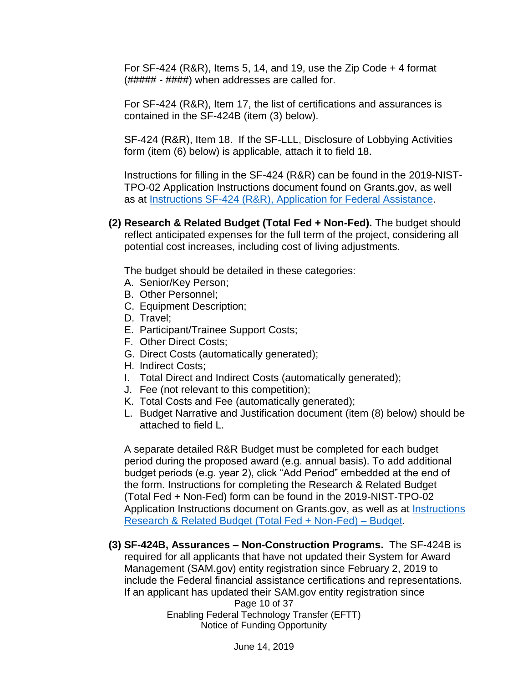For  $SF-424$  (R&R), Items 5, 14, and 19, use the Zip Code  $+$  4 format (##### - ####) when addresses are called for.

For SF-424 (R&R), Item 17, the list of certifications and assurances is contained in the SF-424B (item (3) below).

SF-424 (R&R), Item 18. If the SF-LLL, Disclosure of Lobbying Activities form (item (6) below) is applicable, attach it to field 18.

Instructions for filling in the SF-424 (R&R) can be found in the 2019-NIST-TPO-02 Application Instructions document found on Grants.gov, as well as at [Instructions SF-424 \(R&R\), Application for Federal](https://w3auth.nist.gov/file/365086) Assistance.

**(2) Research & Related Budget (Total Fed + Non-Fed).** The budget should reflect anticipated expenses for the full term of the project, considering all potential cost increases, including cost of living adjustments.

The budget should be detailed in these categories:

- A. Senior/Key Person;
- B. Other Personnel;
- C. Equipment Description;
- D. Travel;
- E. Participant/Trainee Support Costs;
- F. Other Direct Costs;
- G. Direct Costs (automatically generated);
- H. Indirect Costs;
- I. Total Direct and Indirect Costs (automatically generated);
- J. Fee (not relevant to this competition);
- K. Total Costs and Fee (automatically generated);
- L. Budget Narrative and Justification document (item (8) below) should be attached to field L.

A separate detailed R&R Budget must be completed for each budget period during the proposed award (e.g. annual basis). To add additional budget periods (e.g. year 2), click "Add Period" embedded at the end of the form. Instructions for completing the Research & Related Budget (Total Fed + Non-Fed) form can be found in the 2019-NIST-TPO-02 Application Instructions document on Grants.gov, as well as at [Instructions](https://w3auth.nist.gov/file/365091)  [Research & Related Budget \(Total Fed + Non-Fed\) –](https://w3auth.nist.gov/file/365091) Budget.

**(3) SF-424B, Assurances – Non-Construction Programs.** The SF-424B is required for all applicants that have not updated their System for Award Management (SAM.gov) entity registration since February 2, 2019 to include the Federal financial assistance certifications and representations. If an applicant has updated their SAM.gov entity registration since

Page 10 of 37 Enabling Federal Technology Transfer (EFTT) Notice of Funding Opportunity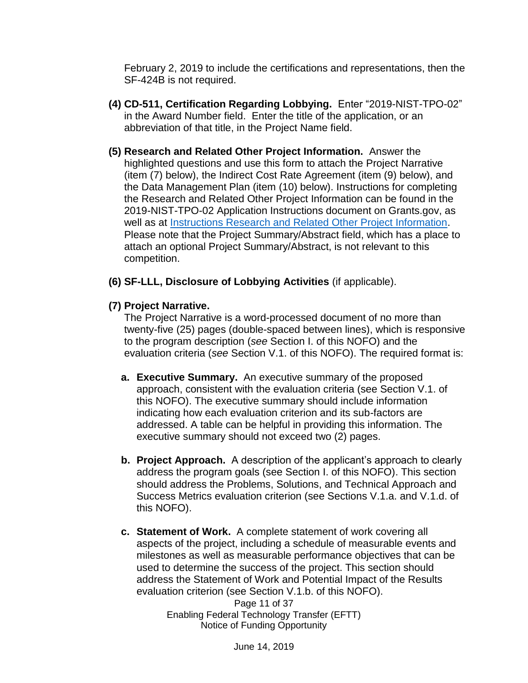February 2, 2019 to include the certifications and representations, then the SF-424B is not required.

- **(4) CD-511, Certification Regarding Lobbying.** Enter "2019-NIST-TPO-02" in the Award Number field. Enter the title of the application, or an abbreviation of that title, in the Project Name field.
- **(5) Research and Related Other Project Information.** Answer the highlighted questions and use this form to attach the Project Narrative (item (7) below), the Indirect Cost Rate Agreement (item (9) below), and the Data Management Plan (item (10) below). Instructions for completing the Research and Related Other Project Information can be found in the 2019-NIST-TPO-02 Application Instructions document on Grants.gov, as well as at [Instructions Research and Related Other Project Information.](https://w3auth.nist.gov/file/365096) Please note that the Project Summary/Abstract field, which has a place to attach an optional Project Summary/Abstract, is not relevant to this competition.
- **(6) SF-LLL, Disclosure of Lobbying Activities** (if applicable).
- **(7) Project Narrative.**

The Project Narrative is a word-processed document of no more than twenty-five (25) pages (double-spaced between lines), which is responsive to the program description (*see* Section I. of this NOFO) and the evaluation criteria (*see* Section V.1. of this NOFO). The required format is:

- **a. Executive Summary.** An executive summary of the proposed approach, consistent with the evaluation criteria (see Section V.1. of this NOFO). The executive summary should include information indicating how each evaluation criterion and its sub-factors are addressed. A table can be helpful in providing this information. The executive summary should not exceed two (2) pages.
- **b. Project Approach.** A description of the applicant's approach to clearly address the program goals (see Section I. of this NOFO). This section should address the Problems, Solutions, and Technical Approach and Success Metrics evaluation criterion (see Sections V.1.a. and V.1.d. of this NOFO).
- **c. Statement of Work.** A complete statement of work covering all aspects of the project, including a schedule of measurable events and milestones as well as measurable performance objectives that can be used to determine the success of the project. This section should address the Statement of Work and Potential Impact of the Results evaluation criterion (see Section V.1.b. of this NOFO).

Page 11 of 37 Enabling Federal Technology Transfer (EFTT) Notice of Funding Opportunity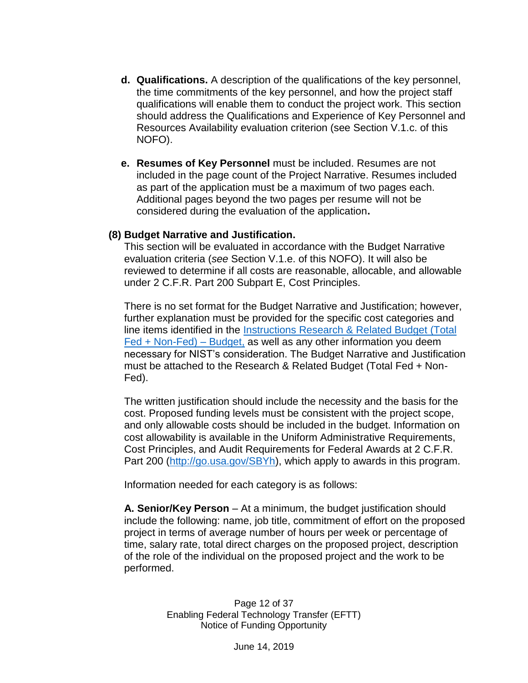- **d. Qualifications.** A description of the qualifications of the key personnel, the time commitments of the key personnel, and how the project staff qualifications will enable them to conduct the project work. This section should address the Qualifications and Experience of Key Personnel and Resources Availability evaluation criterion (see Section V.1.c. of this NOFO).
- **e. Resumes of Key Personnel** must be included. Resumes are not included in the page count of the Project Narrative. Resumes included as part of the application must be a maximum of two pages each. Additional pages beyond the two pages per resume will not be considered during the evaluation of the application**.**

#### **(8) Budget Narrative and Justification.**

This section will be evaluated in accordance with the Budget Narrative evaluation criteria (*see* Section V.1.e. of this NOFO). It will also be reviewed to determine if all costs are reasonable, allocable, and allowable under 2 C.F.R. Part 200 Subpart E, Cost Principles.

There is no set format for the Budget Narrative and Justification; however, further explanation must be provided for the specific cost categories and line items identified in the [Instructions Research & Related Budget \(Total](https://w3auth.nist.gov/file/365091)  [Fed + Non-Fed\) –](https://w3auth.nist.gov/file/365091) Budget, as well as any other information you deem necessary for NIST's consideration. The Budget Narrative and Justification must be attached to the Research & Related Budget (Total Fed + Non-Fed).

The written justification should include the necessity and the basis for the cost. Proposed funding levels must be consistent with the project scope, and only allowable costs should be included in the budget. Information on cost allowability is available in the Uniform Administrative Requirements, Cost Principles, and Audit Requirements for Federal Awards at 2 C.F.R. Part 200 [\(http://go.usa.gov/SBYh\)](http://go.usa.gov/SBYh), which apply to awards in this program.

Information needed for each category is as follows:

**A. Senior/Key Person** – At a minimum, the budget justification should include the following: name, job title, commitment of effort on the proposed project in terms of average number of hours per week or percentage of time, salary rate, total direct charges on the proposed project, description of the role of the individual on the proposed project and the work to be performed.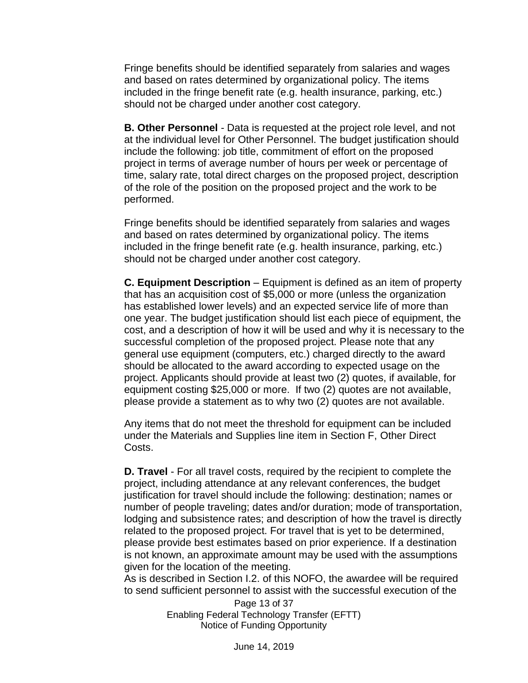Fringe benefits should be identified separately from salaries and wages and based on rates determined by organizational policy. The items included in the fringe benefit rate (e.g. health insurance, parking, etc.) should not be charged under another cost category.

**B. Other Personnel** - Data is requested at the project role level, and not at the individual level for Other Personnel. The budget justification should include the following: job title, commitment of effort on the proposed project in terms of average number of hours per week or percentage of time, salary rate, total direct charges on the proposed project, description of the role of the position on the proposed project and the work to be performed.

Fringe benefits should be identified separately from salaries and wages and based on rates determined by organizational policy. The items included in the fringe benefit rate (e.g. health insurance, parking, etc.) should not be charged under another cost category.

**C. Equipment Description** – Equipment is defined as an item of property that has an acquisition cost of \$5,000 or more (unless the organization has established lower levels) and an expected service life of more than one year. The budget justification should list each piece of equipment, the cost, and a description of how it will be used and why it is necessary to the successful completion of the proposed project. Please note that any general use equipment (computers, etc.) charged directly to the award should be allocated to the award according to expected usage on the project. Applicants should provide at least two (2) quotes, if available, for equipment costing \$25,000 or more. If two (2) quotes are not available, please provide a statement as to why two (2) quotes are not available.

Any items that do not meet the threshold for equipment can be included under the Materials and Supplies line item in Section F, Other Direct Costs.

**D. Travel** - For all travel costs, required by the recipient to complete the project, including attendance at any relevant conferences, the budget justification for travel should include the following: destination; names or number of people traveling; dates and/or duration; mode of transportation, lodging and subsistence rates; and description of how the travel is directly related to the proposed project. For travel that is yet to be determined, please provide best estimates based on prior experience. If a destination is not known, an approximate amount may be used with the assumptions given for the location of the meeting.

As is described in Section I.2. of this NOFO, the awardee will be required to send sufficient personnel to assist with the successful execution of the

> Page 13 of 37 Enabling Federal Technology Transfer (EFTT) Notice of Funding Opportunity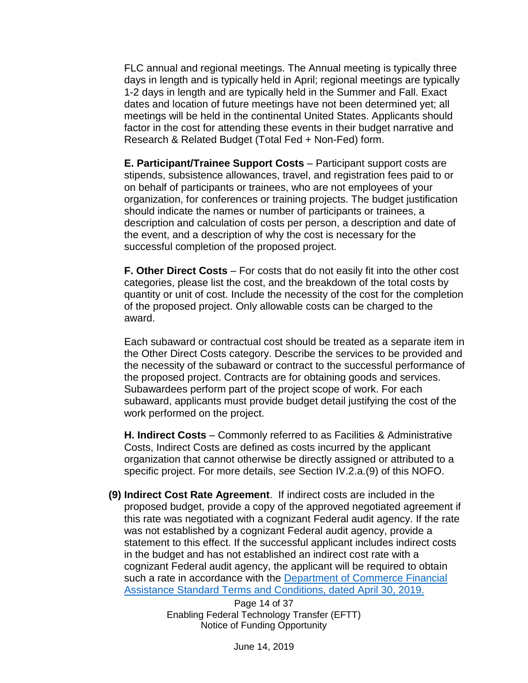FLC annual and regional meetings. The Annual meeting is typically three days in length and is typically held in April; regional meetings are typically 1-2 days in length and are typically held in the Summer and Fall. Exact dates and location of future meetings have not been determined yet; all meetings will be held in the continental United States. Applicants should factor in the cost for attending these events in their budget narrative and Research & Related Budget (Total Fed + Non-Fed) form.

**E. Participant/Trainee Support Costs** – Participant support costs are stipends, subsistence allowances, travel, and registration fees paid to or on behalf of participants or trainees, who are not employees of your organization, for conferences or training projects. The budget justification should indicate the names or number of participants or trainees, a description and calculation of costs per person, a description and date of the event, and a description of why the cost is necessary for the successful completion of the proposed project.

**F. Other Direct Costs** – For costs that do not easily fit into the other cost categories, please list the cost, and the breakdown of the total costs by quantity or unit of cost. Include the necessity of the cost for the completion of the proposed project. Only allowable costs can be charged to the award.

Each subaward or contractual cost should be treated as a separate item in the Other Direct Costs category. Describe the services to be provided and the necessity of the subaward or contract to the successful performance of the proposed project. Contracts are for obtaining goods and services. Subawardees perform part of the project scope of work. For each subaward, applicants must provide budget detail justifying the cost of the work performed on the project.

**H. Indirect Costs** – Commonly referred to as Facilities & Administrative Costs, Indirect Costs are defined as costs incurred by the applicant organization that cannot otherwise be directly assigned or attributed to a specific project. For more details, *see* Section IV.2.a.(9) of this NOFO.

**(9) Indirect Cost Rate Agreement**. If indirect costs are included in the proposed budget, provide a copy of the approved negotiated agreement if this rate was negotiated with a cognizant Federal audit agency. If the rate was not established by a cognizant Federal audit agency, provide a statement to this effect. If the successful applicant includes indirect costs in the budget and has not established an indirect cost rate with a cognizant Federal audit agency, the applicant will be required to obtain such a rate in accordance with the Department of Commerce Financial [Assistance Standard Terms and Conditions, dated April 30, 2019.](http://www.osec.doc.gov/oam/grants_management/policy/documents/Department%20of%20Commerce%20Standard%20Terms%20Conditions%2030%20April%202019.pdf)

> Page 14 of 37 Enabling Federal Technology Transfer (EFTT) Notice of Funding Opportunity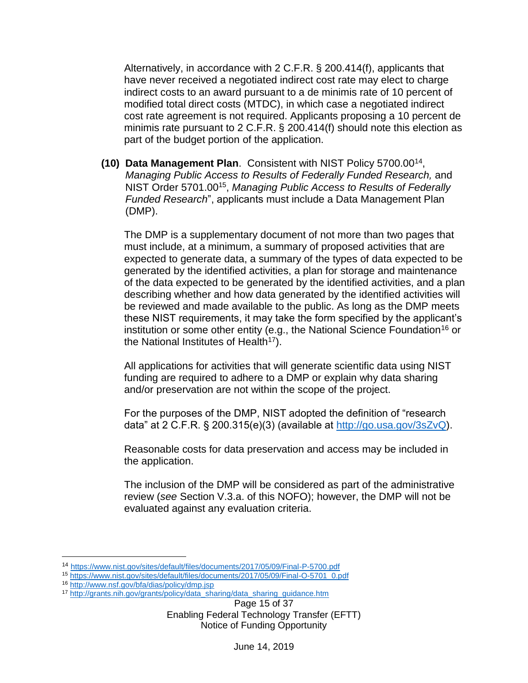Alternatively, in accordance with 2 C.F.R. § 200.414(f), applicants that have never received a negotiated indirect cost rate may elect to charge indirect costs to an award pursuant to a de minimis rate of 10 percent of modified total direct costs (MTDC), in which case a negotiated indirect cost rate agreement is not required. Applicants proposing a 10 percent de minimis rate pursuant to 2 C.F.R. § 200.414(f) should note this election as part of the budget portion of the application.

**(10) Data Management Plan**. Consistent with NIST Policy 5700.00<sup>14</sup> , *Managing Public Access to Results of Federally Funded Research,* and NIST Order 5701.00<sup>15</sup> , *Managing Public Access to Results of Federally Funded Research*", applicants must include a Data Management Plan (DMP).

The DMP is a supplementary document of not more than two pages that must include, at a minimum, a summary of proposed activities that are expected to generate data, a summary of the types of data expected to be generated by the identified activities, a plan for storage and maintenance of the data expected to be generated by the identified activities, and a plan describing whether and how data generated by the identified activities will be reviewed and made available to the public. As long as the DMP meets these NIST requirements, it may take the form specified by the applicant's institution or some other entity (e.g., the National Science Foundation<sup>16</sup> or the National Institutes of Health<sup>17</sup>).

All applications for activities that will generate scientific data using NIST funding are required to adhere to a DMP or explain why data sharing and/or preservation are not within the scope of the project.

For the purposes of the DMP, NIST adopted the definition of "research data" at 2 C.F.R.  $\S$  200.315(e)(3) (available at [http://go.usa.gov/3sZvQ\)](http://go.usa.gov/3sZvQ).

Reasonable costs for data preservation and access may be included in the application.

The inclusion of the DMP will be considered as part of the administrative review (*see* Section V.3.a. of this NOFO); however, the DMP will not be evaluated against any evaluation criteria.

 $\overline{a}$ 

<sup>14</sup> <https://www.nist.gov/sites/default/files/documents/2017/05/09/Final-P-5700.pdf>

<sup>15</sup> [https://www.nist.gov/sites/default/files/documents/2017/05/09/Final-O-5701\\_0.pdf](https://www.nist.gov/sites/default/files/documents/2017/05/09/Final-O-5701_0.pdf) 

<sup>16</sup> <http://www.nsf.gov/bfa/dias/policy/dmp.jsp>

<sup>17</sup> [http://grants.nih.gov/grants/policy/data\\_sharing/data\\_sharing\\_guidance.htm](http://grants.nih.gov/grants/policy/data_sharing/data_sharing_guidance.htm)

Page 15 of 37 Enabling Federal Technology Transfer (EFTT) Notice of Funding Opportunity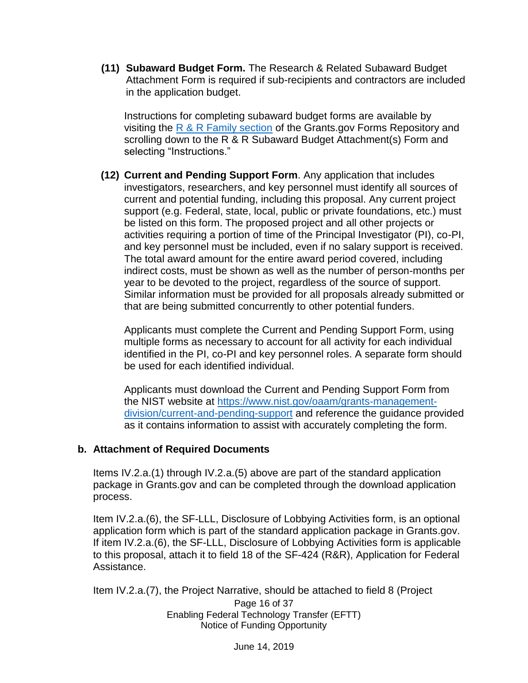**(11) Subaward Budget Form.** The Research & Related Subaward Budget Attachment Form is required if sub-recipients and contractors are included in the application budget.

Instructions for completing subaward budget forms are available by visiting the  $R & R$  Family section of the Grants.gov Forms Repository and scrolling down to the R & R Subaward Budget Attachment(s) Form and selecting "Instructions."

**(12) Current and Pending Support Form**. Any application that includes investigators, researchers, and key personnel must identify all sources of current and potential funding, including this proposal. Any current project support (e.g. Federal, state, local, public or private foundations, etc.) must be listed on this form. The proposed project and all other projects or activities requiring a portion of time of the Principal Investigator (PI), co-PI, and key personnel must be included, even if no salary support is received. The total award amount for the entire award period covered, including indirect costs, must be shown as well as the number of person-months per year to be devoted to the project, regardless of the source of support. Similar information must be provided for all proposals already submitted or that are being submitted concurrently to other potential funders.

Applicants must complete the Current and Pending Support Form, using multiple forms as necessary to account for all activity for each individual identified in the PI, co-PI and key personnel roles. A separate form should be used for each identified individual.

Applicants must download the Current and Pending Support Form from the NIST website at [https://www.nist.gov/oaam/grants-management](https://www.nist.gov/oaam/grants-management-division/current-and-pending-support)[division/current-and-pending-support](https://www.nist.gov/oaam/grants-management-division/current-and-pending-support) and reference the guidance provided as it contains information to assist with accurately completing the form.

#### **b. Attachment of Required Documents**

Items IV.2.a.(1) through IV.2.a.(5) above are part of the standard application package in Grants.gov and can be completed through the download application process.

Item IV.2.a.(6), the SF-LLL, Disclosure of Lobbying Activities form, is an optional application form which is part of the standard application package in Grants.gov. If item IV.2.a.(6), the SF-LLL, Disclosure of Lobbying Activities form is applicable to this proposal, attach it to field 18 of the SF-424 (R&R), Application for Federal Assistance.

Item IV.2.a.(7), the Project Narrative, should be attached to field 8 (Project

Page 16 of 37 Enabling Federal Technology Transfer (EFTT) Notice of Funding Opportunity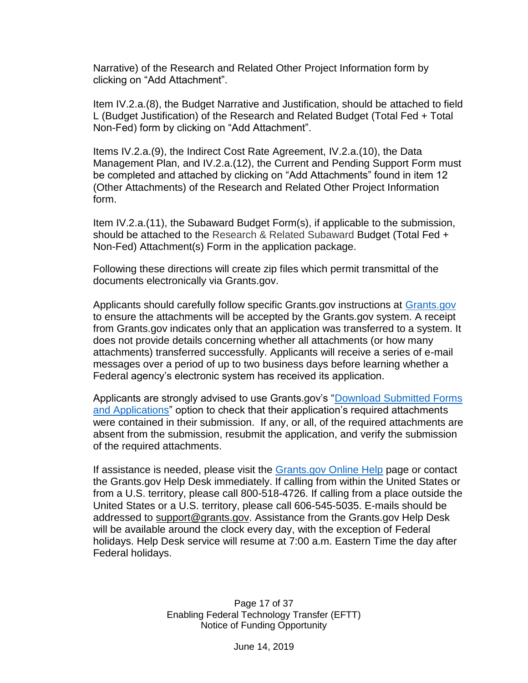Narrative) of the Research and Related Other Project Information form by clicking on "Add Attachment".

Item IV.2.a.(8), the Budget Narrative and Justification, should be attached to field L (Budget Justification) of the Research and Related Budget (Total Fed + Total Non-Fed) form by clicking on "Add Attachment".

Items IV.2.a.(9), the Indirect Cost Rate Agreement, IV.2.a.(10), the Data Management Plan, and IV.2.a.(12), the Current and Pending Support Form must be completed and attached by clicking on "Add Attachments" found in item 12 (Other Attachments) of the Research and Related Other Project Information form.

Item IV.2.a.(11), the Subaward Budget Form(s), if applicable to the submission, should be attached to the Research & Related Subaward Budget (Total Fed + Non-Fed) Attachment(s) Form in the application package.

Following these directions will create zip files which permit transmittal of the documents electronically via Grants.gov.

Applicants should carefully follow specific Grants.gov instructions at [Grants.gov](http://www.grants.gov/) to ensure the attachments will be accepted by the Grants.gov system. A receipt from Grants.gov indicates only that an application was transferred to a system. It does not provide details concerning whether all attachments (or how many attachments) transferred successfully. Applicants will receive a series of e-mail messages over a period of up to two business days before learning whether a Federal agency's electronic system has received its application.

Applicants are strongly advised to use Grants.gov's ["Download Submitted Forms](https://apply07.grants.gov/help/html/help/index.htm#t=Applicants%2FCheckApplicationStatus%2FDownloadSubmittedFormsAndApplications.htm)  [and Applications"](https://apply07.grants.gov/help/html/help/index.htm#t=Applicants%2FCheckApplicationStatus%2FDownloadSubmittedFormsAndApplications.htm) option to check that their application's required attachments were contained in their submission. If any, or all, of the required attachments are absent from the submission, resubmit the application, and verify the submission of the required attachments.

If assistance is needed, please visit the [Grants.gov Online Help](https://apply07.grants.gov/help/html/help/index.htm#t=GetStarted%2FGetStarted.htm) page or contact the Grants.gov Help Desk immediately. If calling from within the United States or from a U.S. territory, please call 800-518-4726. If calling from a place outside the United States or a U.S. territory, please call 606-545-5035. E-mails should be addressed to [support@grants.gov.](mailto:support@grants.gov) Assistance from the Grants.gov Help Desk will be available around the clock every day, with the exception of Federal holidays. Help Desk service will resume at 7:00 a.m. Eastern Time the day after Federal holidays.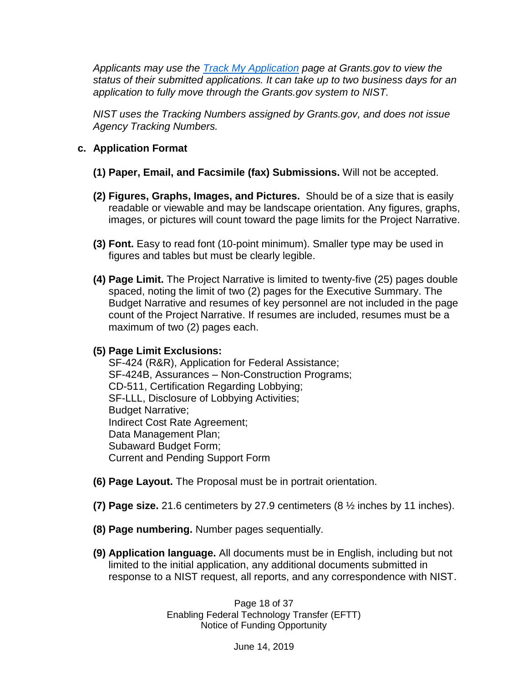*Applicants may use the [Track My Application](https://www.grants.gov/web/grants/applicants/track-my-application.html) page at Grants.gov to view the status of their submitted applications. It can take up to two business days for an application to fully move through the Grants.gov system to NIST.*

*NIST uses the Tracking Numbers assigned by Grants.gov, and does not issue Agency Tracking Numbers.*

#### **c. Application Format**

- **(1) Paper, Email, and Facsimile (fax) Submissions.** Will not be accepted.
- **(2) Figures, Graphs, Images, and Pictures.** Should be of a size that is easily readable or viewable and may be landscape orientation. Any figures, graphs, images, or pictures will count toward the page limits for the Project Narrative.
- **(3) Font.** Easy to read font (10-point minimum). Smaller type may be used in figures and tables but must be clearly legible.
- **(4) Page Limit.** The Project Narrative is limited to twenty-five (25) pages double spaced, noting the limit of two (2) pages for the Executive Summary. The Budget Narrative and resumes of key personnel are not included in the page count of the Project Narrative. If resumes are included, resumes must be a maximum of two (2) pages each.

#### **(5) Page Limit Exclusions:**

SF-424 (R&R), Application for Federal Assistance; SF-424B, Assurances – Non-Construction Programs; CD-511, Certification Regarding Lobbying; SF-LLL, Disclosure of Lobbying Activities; Budget Narrative; Indirect Cost Rate Agreement; Data Management Plan; Subaward Budget Form; Current and Pending Support Form

- **(6) Page Layout.** The Proposal must be in portrait orientation.
- **(7) Page size.** 21.6 centimeters by 27.9 centimeters (8 ½ inches by 11 inches).
- **(8) Page numbering.** Number pages sequentially.
- **(9) Application language.** All documents must be in English, including but not limited to the initial application, any additional documents submitted in response to a NIST request, all reports, and any correspondence with NIST.

Page 18 of 37 Enabling Federal Technology Transfer (EFTT) Notice of Funding Opportunity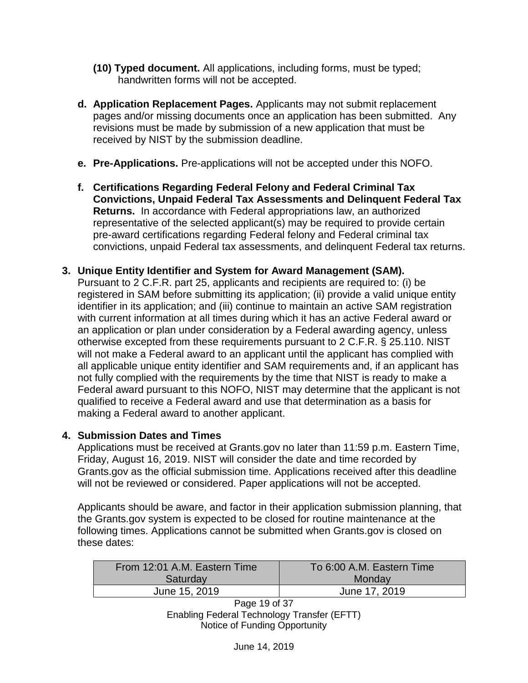- **(10) Typed document.** All applications, including forms, must be typed; handwritten forms will not be accepted.
- **d. Application Replacement Pages.** Applicants may not submit replacement pages and/or missing documents once an application has been submitted. Any revisions must be made by submission of a new application that must be received by NIST by the submission deadline.
- **e. Pre-Applications.** Pre-applications will not be accepted under this NOFO.
- **f. Certifications Regarding Federal Felony and Federal Criminal Tax Convictions, Unpaid Federal Tax Assessments and Delinquent Federal Tax Returns.** In accordance with Federal appropriations law, an authorized representative of the selected applicant(s) may be required to provide certain pre-award certifications regarding Federal felony and Federal criminal tax convictions, unpaid Federal tax assessments, and delinquent Federal tax returns.
- **3. Unique Entity Identifier and System for Award Management (SAM).**

Pursuant to 2 C.F.R. part 25, applicants and recipients are required to: (i) be registered in SAM before submitting its application; (ii) provide a valid unique entity identifier in its application; and (iii) continue to maintain an active SAM registration with current information at all times during which it has an active Federal award or an application or plan under consideration by a Federal awarding agency, unless otherwise excepted from these requirements pursuant to 2 C.F.R. § 25.110. NIST will not make a Federal award to an applicant until the applicant has complied with all applicable unique entity identifier and SAM requirements and, if an applicant has not fully complied with the requirements by the time that NIST is ready to make a Federal award pursuant to this NOFO, NIST may determine that the applicant is not qualified to receive a Federal award and use that determination as a basis for making a Federal award to another applicant.

# **4. Submission Dates and Times**

Applications must be received at Grants.gov no later than 11:59 p.m. Eastern Time, Friday, August 16, 2019. NIST will consider the date and time recorded by Grants.gov as the official submission time. Applications received after this deadline will not be reviewed or considered. Paper applications will not be accepted.

Applicants should be aware, and factor in their application submission planning, that the Grants.gov system is expected to be closed for routine maintenance at the following times. Applications cannot be submitted when Grants.gov is closed on these dates:

| From 12:01 A.M. Eastern Time | To 6:00 A.M. Eastern Time |
|------------------------------|---------------------------|
| Saturday                     | Monday                    |
| June 15, 2019                | June 17, 2019             |

Page 19 of 37 Enabling Federal Technology Transfer (EFTT) Notice of Funding Opportunity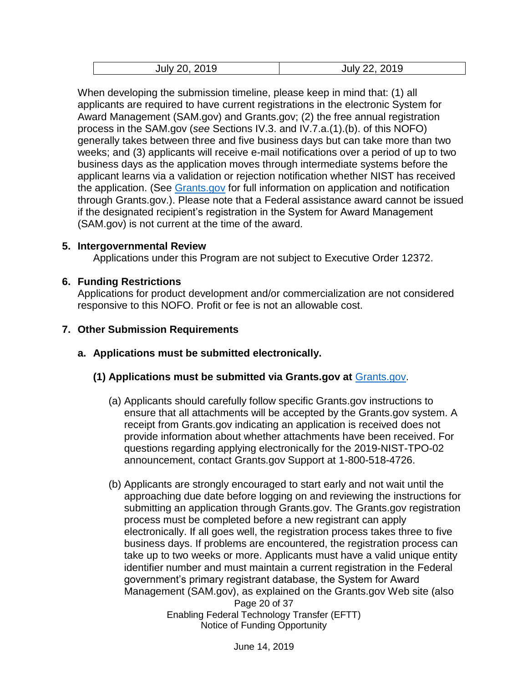| 2019    | 2019    |
|---------|---------|
| July 20 | July 22 |

When developing the submission timeline, please keep in mind that: (1) all applicants are required to have current registrations in the electronic System for Award Management (SAM.gov) and Grants.gov; (2) the free annual registration process in the SAM.gov (*see* Sections IV.3. and IV.7.a.(1).(b). of this NOFO) generally takes between three and five business days but can take more than two weeks; and (3) applicants will receive e-mail notifications over a period of up to two business days as the application moves through intermediate systems before the applicant learns via a validation or rejection notification whether NIST has received the application. (See [Grants.gov](http://www.grants.gov/) for full information on application and notification through Grants.gov.). Please note that a Federal assistance award cannot be issued if the designated recipient's registration in the System for Award Management (SAM.gov) is not current at the time of the award.

#### **5. Intergovernmental Review**

Applications under this Program are not subject to Executive Order 12372.

#### **6. Funding Restrictions**

Applications for product development and/or commercialization are not considered responsive to this NOFO. Profit or fee is not an allowable cost.

#### **7. Other Submission Requirements**

**a. Applications must be submitted electronically.**

#### **(1) Applications must be submitted via Grants.gov at** [Grants.gov.](http://www.grants.gov/)

- (a) Applicants should carefully follow specific Grants.gov instructions to ensure that all attachments will be accepted by the Grants.gov system. A receipt from Grants.gov indicating an application is received does not provide information about whether attachments have been received. For questions regarding applying electronically for the 2019-NIST-TPO-02 announcement, contact Grants.gov Support at 1-800-518-4726.
- Page 20 of 37 (b) Applicants are strongly encouraged to start early and not wait until the approaching due date before logging on and reviewing the instructions for submitting an application through Grants.gov. The Grants.gov registration process must be completed before a new registrant can apply electronically. If all goes well, the registration process takes three to five business days. If problems are encountered, the registration process can take up to two weeks or more. Applicants must have a valid unique entity identifier number and must maintain a current registration in the Federal government's primary registrant database, the System for Award Management (SAM.gov), as explained on the Grants.gov Web site (also

Enabling Federal Technology Transfer (EFTT) Notice of Funding Opportunity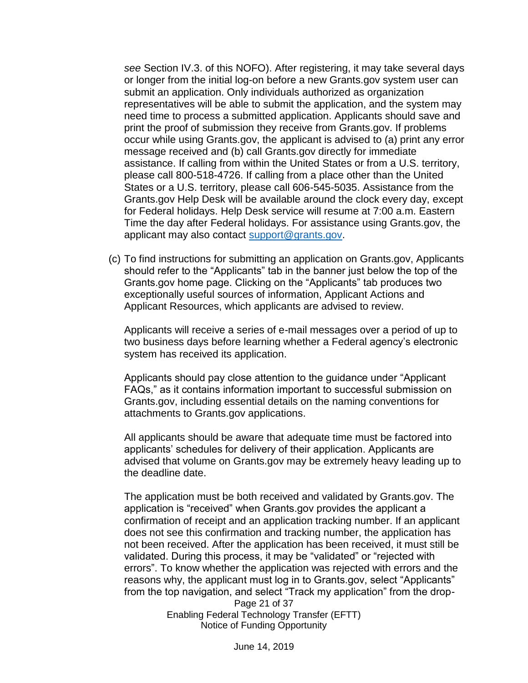*see* Section IV.3. of this NOFO). After registering, it may take several days or longer from the initial log-on before a new Grants.gov system user can submit an application. Only individuals authorized as organization representatives will be able to submit the application, and the system may need time to process a submitted application. Applicants should save and print the proof of submission they receive from Grants.gov. If problems occur while using Grants.gov, the applicant is advised to (a) print any error message received and (b) call Grants.gov directly for immediate assistance. If calling from within the United States or from a U.S. territory, please call 800-518-4726. If calling from a place other than the United States or a U.S. territory, please call 606-545-5035. Assistance from the Grants.gov Help Desk will be available around the clock every day, except for Federal holidays. Help Desk service will resume at 7:00 a.m. Eastern Time the day after Federal holidays. For assistance using Grants.gov, the applicant may also contact [support@grants.gov.](mailto:support@grants.gov)

(c) To find instructions for submitting an application on Grants.gov, Applicants should refer to the "Applicants" tab in the banner just below the top of the Grants.gov home page. Clicking on the "Applicants" tab produces two exceptionally useful sources of information, Applicant Actions and Applicant Resources, which applicants are advised to review.

Applicants will receive a series of e-mail messages over a period of up to two business days before learning whether a Federal agency's electronic system has received its application.

Applicants should pay close attention to the guidance under "Applicant FAQs," as it contains information important to successful submission on Grants.gov, including essential details on the naming conventions for attachments to Grants.gov applications.

All applicants should be aware that adequate time must be factored into applicants' schedules for delivery of their application. Applicants are advised that volume on Grants.gov may be extremely heavy leading up to the deadline date.

The application must be both received and validated by Grants.gov. The application is "received" when Grants.gov provides the applicant a confirmation of receipt and an application tracking number. If an applicant does not see this confirmation and tracking number, the application has not been received. After the application has been received, it must still be validated. During this process, it may be "validated" or "rejected with errors". To know whether the application was rejected with errors and the reasons why, the applicant must log in to Grants.gov, select "Applicants" from the top navigation, and select "Track my application" from the drop-

Page 21 of 37 Enabling Federal Technology Transfer (EFTT) Notice of Funding Opportunity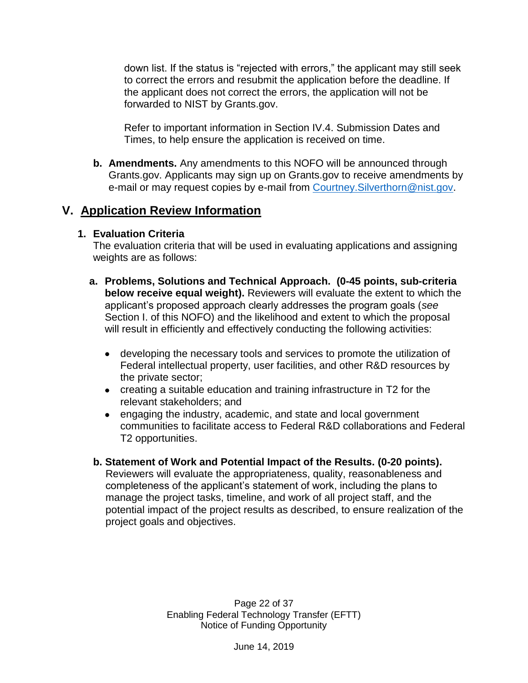down list. If the status is "rejected with errors," the applicant may still seek to correct the errors and resubmit the application before the deadline. If the applicant does not correct the errors, the application will not be forwarded to NIST by Grants.gov.

Refer to important information in Section IV.4. Submission Dates and Times, to help ensure the application is received on time.

**b. Amendments.** Any amendments to this NOFO will be announced through Grants.gov. Applicants may sign up on Grants.gov to receive amendments by e-mail or may request copies by e-mail from Courtney. Silverthorn@nist.gov.

# <span id="page-21-0"></span>**V. Application Review Information**

### **1. Evaluation Criteria**

The evaluation criteria that will be used in evaluating applications and assigning weights are as follows:

- **a. Problems, Solutions and Technical Approach. (0-45 points, sub-criteria below receive equal weight).** Reviewers will evaluate the extent to which the applicant's proposed approach clearly addresses the program goals (*see* Section I. of this NOFO) and the likelihood and extent to which the proposal will result in efficiently and effectively conducting the following activities:
	- developing the necessary tools and services to promote the utilization of Federal intellectual property, user facilities, and other R&D resources by the private sector;
	- creating a suitable education and training infrastructure in T2 for the relevant stakeholders; and
	- engaging the industry, academic, and state and local government communities to facilitate access to Federal R&D collaborations and Federal T2 opportunities.
- **b. Statement of Work and Potential Impact of the Results. (0-20 points).**  Reviewers will evaluate the appropriateness, quality, reasonableness and completeness of the applicant's statement of work, including the plans to manage the project tasks, timeline, and work of all project staff, and the potential impact of the project results as described, to ensure realization of the project goals and objectives.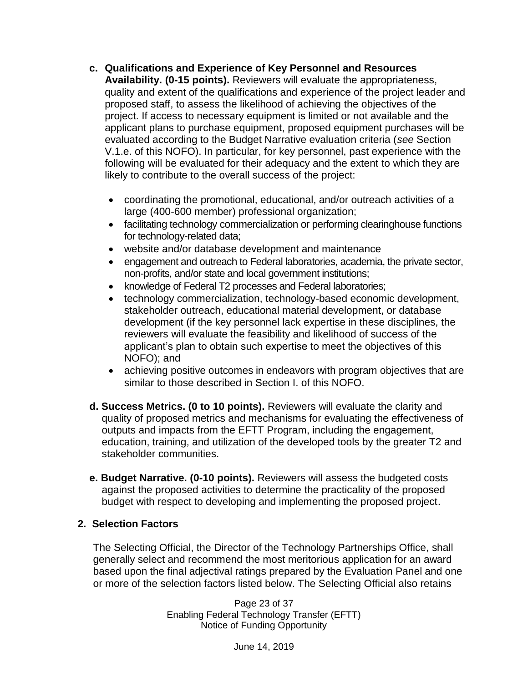**c. Qualifications and Experience of Key Personnel and Resources** 

**Availability. (0-15 points).** Reviewers will evaluate the appropriateness, quality and extent of the qualifications and experience of the project leader and proposed staff, to assess the likelihood of achieving the objectives of the project. If access to necessary equipment is limited or not available and the applicant plans to purchase equipment, proposed equipment purchases will be evaluated according to the Budget Narrative evaluation criteria (*see* Section V.1.e. of this NOFO). In particular, for key personnel, past experience with the following will be evaluated for their adequacy and the extent to which they are likely to contribute to the overall success of the project:

- coordinating the promotional, educational, and/or outreach activities of a large (400-600 member) professional organization;
- facilitating technology commercialization or performing clearinghouse functions for technology-related data;
- website and/or database development and maintenance
- engagement and outreach to Federal laboratories, academia, the private sector, non-profits, and/or state and local government institutions;
- knowledge of Federal T2 processes and Federal laboratories;
- technology commercialization, technology-based economic development, stakeholder outreach, educational material development, or database development (if the key personnel lack expertise in these disciplines, the reviewers will evaluate the feasibility and likelihood of success of the applicant's plan to obtain such expertise to meet the objectives of this NOFO); and
- achieving positive outcomes in endeavors with program objectives that are similar to those described in Section I. of this NOFO.
- **d. Success Metrics. (0 to 10 points).** Reviewers will evaluate the clarity and quality of proposed metrics and mechanisms for evaluating the effectiveness of outputs and impacts from the EFTT Program, including the engagement, education, training, and utilization of the developed tools by the greater T2 and stakeholder communities.
- **e. Budget Narrative. (0-10 points).** Reviewers will assess the budgeted costs against the proposed activities to determine the practicality of the proposed budget with respect to developing and implementing the proposed project.

#### **2. Selection Factors**

The Selecting Official, the Director of the Technology Partnerships Office, shall generally select and recommend the most meritorious application for an award based upon the final adjectival ratings prepared by the Evaluation Panel and one or more of the selection factors listed below. The Selecting Official also retains

> Page 23 of 37 Enabling Federal Technology Transfer (EFTT) Notice of Funding Opportunity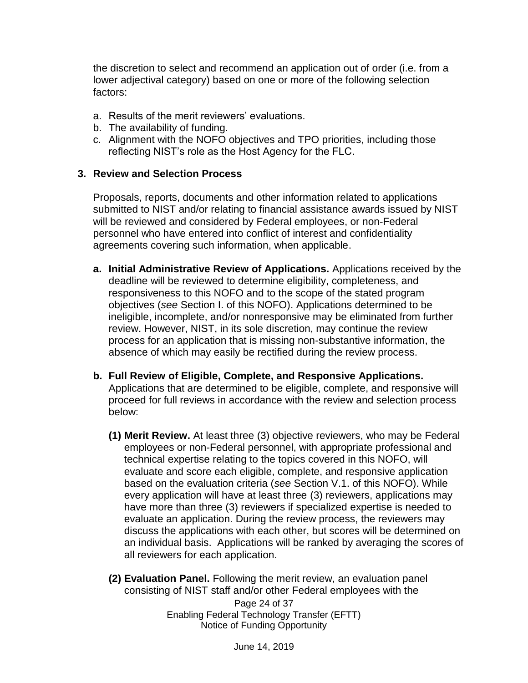the discretion to select and recommend an application out of order (i.e. from a lower adjectival category) based on one or more of the following selection factors:

- a. Results of the merit reviewers' evaluations.
- b. The availability of funding.
- c. Alignment with the NOFO objectives and TPO priorities, including those reflecting NIST's role as the Host Agency for the FLC.

#### **3. Review and Selection Process**

Proposals, reports, documents and other information related to applications submitted to NIST and/or relating to financial assistance awards issued by NIST will be reviewed and considered by Federal employees, or non-Federal personnel who have entered into conflict of interest and confidentiality agreements covering such information, when applicable.

- **a. Initial Administrative Review of Applications.** Applications received by the deadline will be reviewed to determine eligibility, completeness, and responsiveness to this NOFO and to the scope of the stated program objectives (*see* Section I. of this NOFO). Applications determined to be ineligible, incomplete, and/or nonresponsive may be eliminated from further review. However, NIST, in its sole discretion, may continue the review process for an application that is missing non-substantive information, the absence of which may easily be rectified during the review process.
- **b. Full Review of Eligible, Complete, and Responsive Applications.** Applications that are determined to be eligible, complete, and responsive will proceed for full reviews in accordance with the review and selection process below:
	- **(1) Merit Review.** At least three (3) objective reviewers, who may be Federal employees or non-Federal personnel, with appropriate professional and technical expertise relating to the topics covered in this NOFO, will evaluate and score each eligible, complete, and responsive application based on the evaluation criteria (*see* Section V.1. of this NOFO). While every application will have at least three (3) reviewers, applications may have more than three (3) reviewers if specialized expertise is needed to evaluate an application. During the review process, the reviewers may discuss the applications with each other, but scores will be determined on an individual basis. Applications will be ranked by averaging the scores of all reviewers for each application.

**(2) Evaluation Panel.** Following the merit review, an evaluation panel consisting of NIST staff and/or other Federal employees with the

Page 24 of 37 Enabling Federal Technology Transfer (EFTT) Notice of Funding Opportunity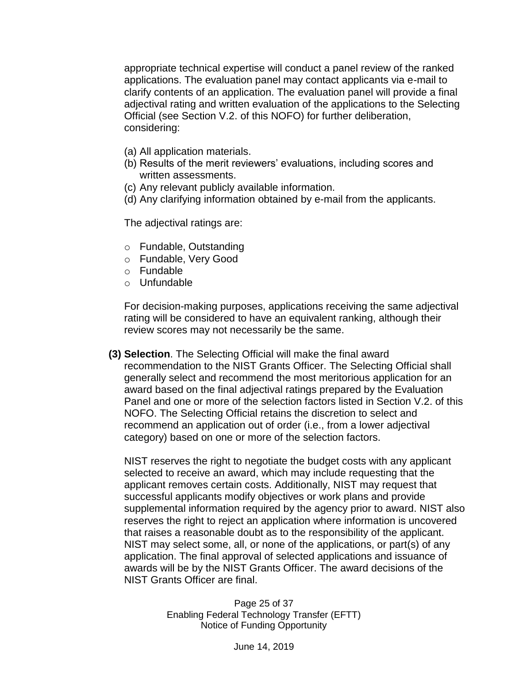appropriate technical expertise will conduct a panel review of the ranked applications. The evaluation panel may contact applicants via e-mail to clarify contents of an application. The evaluation panel will provide a final adjectival rating and written evaluation of the applications to the Selecting Official (see Section V.2. of this NOFO) for further deliberation, considering:

- (a) All application materials.
- (b) Results of the merit reviewers' evaluations, including scores and written assessments.
- (c) Any relevant publicly available information.
- (d) Any clarifying information obtained by e-mail from the applicants.

The adjectival ratings are:

- o Fundable, Outstanding
- o Fundable, Very Good
- o Fundable
- o Unfundable

For decision-making purposes, applications receiving the same adjectival rating will be considered to have an equivalent ranking, although their review scores may not necessarily be the same.

**(3) Selection**. The Selecting Official will make the final award recommendation to the NIST Grants Officer. The Selecting Official shall generally select and recommend the most meritorious application for an award based on the final adjectival ratings prepared by the Evaluation Panel and one or more of the selection factors listed in Section V.2. of this NOFO. The Selecting Official retains the discretion to select and recommend an application out of order (i.e., from a lower adjectival category) based on one or more of the selection factors.

NIST reserves the right to negotiate the budget costs with any applicant selected to receive an award, which may include requesting that the applicant removes certain costs. Additionally, NIST may request that successful applicants modify objectives or work plans and provide supplemental information required by the agency prior to award. NIST also reserves the right to reject an application where information is uncovered that raises a reasonable doubt as to the responsibility of the applicant. NIST may select some, all, or none of the applications, or part(s) of any application. The final approval of selected applications and issuance of awards will be by the NIST Grants Officer. The award decisions of the NIST Grants Officer are final.

> Page 25 of 37 Enabling Federal Technology Transfer (EFTT) Notice of Funding Opportunity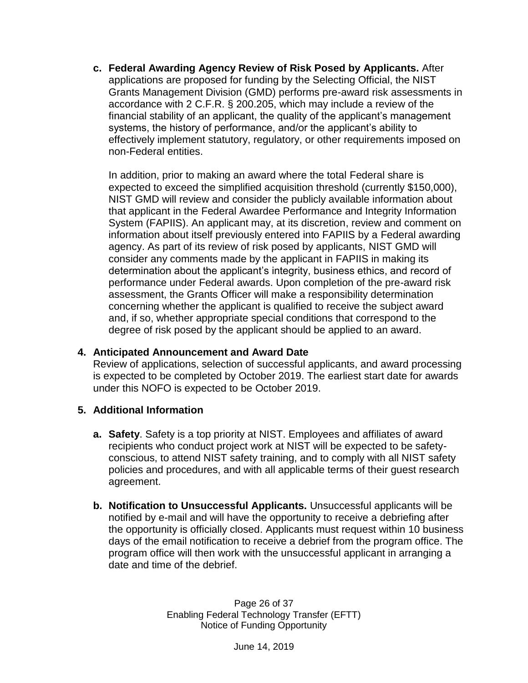**c. Federal Awarding Agency Review of Risk Posed by Applicants.** After applications are proposed for funding by the Selecting Official, the NIST Grants Management Division (GMD) performs pre-award risk assessments in accordance with 2 C.F.R. § 200.205, which may include a review of the financial stability of an applicant, the quality of the applicant's management systems, the history of performance, and/or the applicant's ability to effectively implement statutory, regulatory, or other requirements imposed on non-Federal entities.

In addition, prior to making an award where the total Federal share is expected to exceed the simplified acquisition threshold (currently \$150,000), NIST GMD will review and consider the publicly available information about that applicant in the Federal Awardee Performance and Integrity Information System (FAPIIS). An applicant may, at its discretion, review and comment on information about itself previously entered into FAPIIS by a Federal awarding agency. As part of its review of risk posed by applicants, NIST GMD will consider any comments made by the applicant in FAPIIS in making its determination about the applicant's integrity, business ethics, and record of performance under Federal awards. Upon completion of the pre-award risk assessment, the Grants Officer will make a responsibility determination concerning whether the applicant is qualified to receive the subject award and, if so, whether appropriate special conditions that correspond to the degree of risk posed by the applicant should be applied to an award.

### **4. Anticipated Announcement and Award Date**

Review of applications, selection of successful applicants, and award processing is expected to be completed by October 2019. The earliest start date for awards under this NOFO is expected to be October 2019.

### **5. Additional Information**

- **a. Safety**. Safety is a top priority at NIST. Employees and affiliates of award recipients who conduct project work at NIST will be expected to be safetyconscious, to attend NIST safety training, and to comply with all NIST safety policies and procedures, and with all applicable terms of their guest research agreement.
- **b. Notification to Unsuccessful Applicants.** Unsuccessful applicants will be notified by e-mail and will have the opportunity to receive a debriefing after the opportunity is officially closed. Applicants must request within 10 business days of the email notification to receive a debrief from the program office. The program office will then work with the unsuccessful applicant in arranging a date and time of the debrief.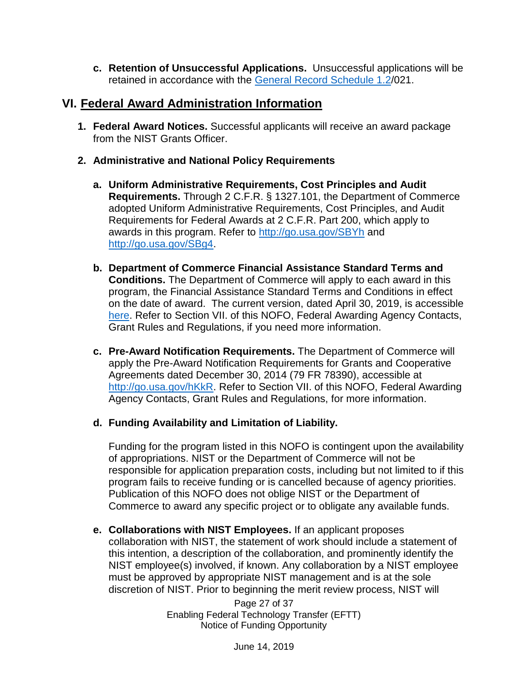**c. Retention of Unsuccessful Applications.** Unsuccessful applications will be retained in accordance with the [General Record Schedule 1.2/](https://www.archives.gov/files/records-mgmt/grs/grs01-2.pdf)021.

# <span id="page-26-0"></span>**VI. Federal Award Administration Information**

- **1. Federal Award Notices.** Successful applicants will receive an award package from the NIST Grants Officer.
- **2. Administrative and National Policy Requirements**
	- **a. Uniform Administrative Requirements, Cost Principles and Audit Requirements.** Through 2 C.F.R. § 1327.101, the Department of Commerce adopted Uniform Administrative Requirements, Cost Principles, and Audit Requirements for Federal Awards at 2 C.F.R. Part 200, which apply to awards in this program. Refer to<http://go.usa.gov/SBYh> and [http://go.usa.gov/SBg4.](http://go.usa.gov/SBg4)
	- **b. Department of Commerce Financial Assistance Standard Terms and Conditions.** The Department of Commerce will apply to each award in this program, the Financial Assistance Standard Terms and Conditions in effect on the date of award. The current version, dated April 30, 2019, is accessible [here.](http://www.osec.doc.gov/oam/grants_management/policy/documents/Department%20of%20Commerce%20Standard%20Terms%20Conditions%2030%20April%202019.pdf) Refer to Section VII. of this NOFO, Federal Awarding Agency Contacts, Grant Rules and Regulations, if you need more information.
	- **c. Pre-Award Notification Requirements.** The Department of Commerce will apply the Pre-Award Notification Requirements for Grants and Cooperative Agreements dated December 30, 2014 (79 FR 78390), accessible at [http://go.usa.gov/hKkR.](http://go.usa.gov/hKkR) Refer to Section VII. of this NOFO, Federal Awarding Agency Contacts, Grant Rules and Regulations, for more information.
	- **d. Funding Availability and Limitation of Liability.**

Funding for the program listed in this NOFO is contingent upon the availability of appropriations. NIST or the Department of Commerce will not be responsible for application preparation costs, including but not limited to if this program fails to receive funding or is cancelled because of agency priorities. Publication of this NOFO does not oblige NIST or the Department of Commerce to award any specific project or to obligate any available funds.

**e. Collaborations with NIST Employees.** If an applicant proposes collaboration with NIST, the statement of work should include a statement of this intention, a description of the collaboration, and prominently identify the NIST employee(s) involved, if known. Any collaboration by a NIST employee must be approved by appropriate NIST management and is at the sole discretion of NIST. Prior to beginning the merit review process, NIST will

> Page 27 of 37 Enabling Federal Technology Transfer (EFTT) Notice of Funding Opportunity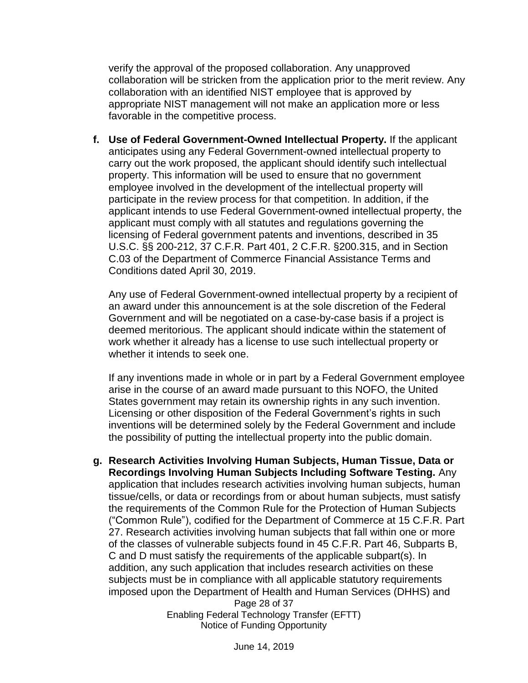verify the approval of the proposed collaboration. Any unapproved collaboration will be stricken from the application prior to the merit review. Any collaboration with an identified NIST employee that is approved by appropriate NIST management will not make an application more or less favorable in the competitive process.

**f. Use of Federal Government-Owned Intellectual Property.** If the applicant anticipates using any Federal Government-owned intellectual property to carry out the work proposed, the applicant should identify such intellectual property. This information will be used to ensure that no government employee involved in the development of the intellectual property will participate in the review process for that competition. In addition, if the applicant intends to use Federal Government-owned intellectual property, the applicant must comply with all statutes and regulations governing the licensing of Federal government patents and inventions, described in 35 U.S.C. §§ 200-212, 37 C.F.R. Part 401, 2 C.F.R. §200.315, and in Section C.03 of the Department of Commerce Financial Assistance Terms and Conditions dated April 30, 2019.

Any use of Federal Government-owned intellectual property by a recipient of an award under this announcement is at the sole discretion of the Federal Government and will be negotiated on a case-by-case basis if a project is deemed meritorious. The applicant should indicate within the statement of work whether it already has a license to use such intellectual property or whether it intends to seek one.

If any inventions made in whole or in part by a Federal Government employee arise in the course of an award made pursuant to this NOFO, the United States government may retain its ownership rights in any such invention. Licensing or other disposition of the Federal Government's rights in such inventions will be determined solely by the Federal Government and include the possibility of putting the intellectual property into the public domain.

**g. Research Activities Involving Human Subjects, Human Tissue, Data or Recordings Involving Human Subjects Including Software Testing.** Any application that includes research activities involving human subjects, human tissue/cells, or data or recordings from or about human subjects, must satisfy the requirements of the Common Rule for the Protection of Human Subjects ("Common Rule"), codified for the Department of Commerce at 15 C.F.R. Part 27. Research activities involving human subjects that fall within one or more of the classes of vulnerable subjects found in 45 C.F.R. Part 46, Subparts B, C and D must satisfy the requirements of the applicable subpart(s). In addition, any such application that includes research activities on these subjects must be in compliance with all applicable statutory requirements imposed upon the Department of Health and Human Services (DHHS) and

Page 28 of 37 Enabling Federal Technology Transfer (EFTT) Notice of Funding Opportunity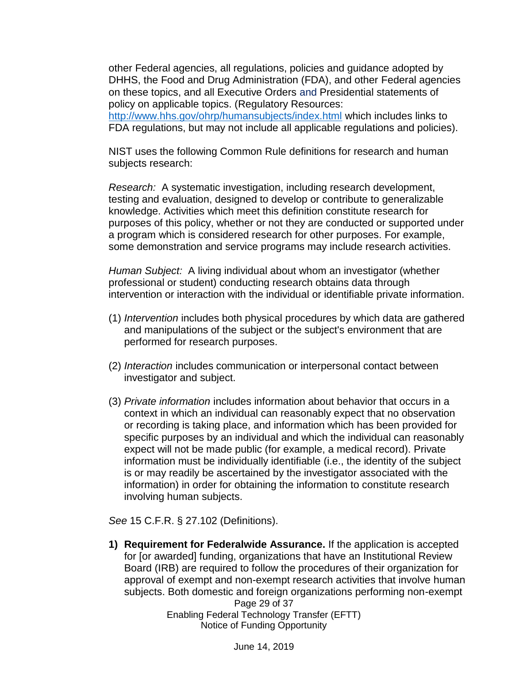other Federal agencies, all regulations, policies and guidance adopted by DHHS, the Food and Drug Administration (FDA), and other Federal agencies on these topics, and all Executive Orders and Presidential statements of policy on applicable topics. (Regulatory Resources: <http://www.hhs.gov/ohrp/humansubjects/index.html> which includes links to FDA regulations, but may not include all applicable regulations and policies).

NIST uses the following Common Rule definitions for research and human subjects research:

*Research:* A systematic investigation, including research development, testing and evaluation, designed to develop or contribute to generalizable knowledge. Activities which meet this definition constitute research for purposes of this policy, whether or not they are conducted or supported under a program which is considered research for other purposes. For example, some demonstration and service programs may include research activities.

*Human Subject:* A living individual about whom an investigator (whether professional or student) conducting research obtains data through intervention or interaction with the individual or identifiable private information.

- (1) *Intervention* includes both physical procedures by which data are gathered and manipulations of the subject or the subject's environment that are performed for research purposes.
- (2) *Interaction* includes communication or interpersonal contact between investigator and subject.
- (3) *Private information* includes information about behavior that occurs in a context in which an individual can reasonably expect that no observation or recording is taking place, and information which has been provided for specific purposes by an individual and which the individual can reasonably expect will not be made public (for example, a medical record). Private information must be individually identifiable (i.e., the identity of the subject is or may readily be ascertained by the investigator associated with the information) in order for obtaining the information to constitute research involving human subjects.

*See* 15 C.F.R. § 27.102 (Definitions).

Page 29 of 37 Enabling Federal Technology Transfer (EFTT) Notice of Funding Opportunity **1) Requirement for Federalwide Assurance.** If the application is accepted for [or awarded] funding, organizations that have an Institutional Review Board (IRB) are required to follow the procedures of their organization for approval of exempt and non-exempt research activities that involve human subjects. Both domestic and foreign organizations performing non-exempt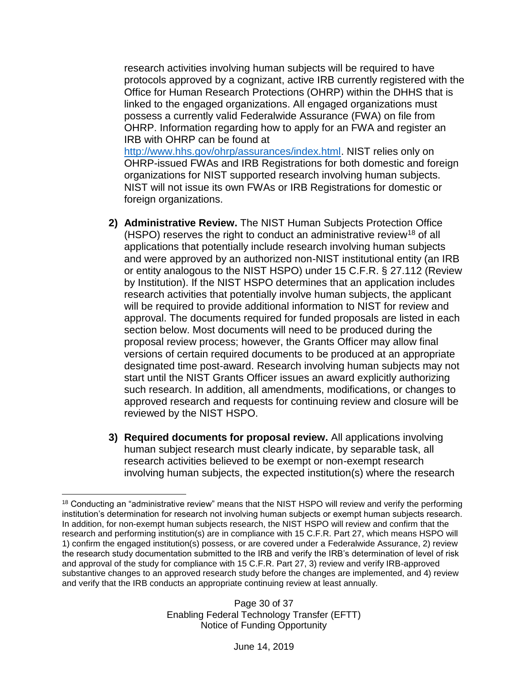research activities involving human subjects will be required to have protocols approved by a cognizant, active IRB currently registered with the Office for Human Research Protections (OHRP) within the DHHS that is linked to the engaged organizations. All engaged organizations must possess a currently valid Federalwide Assurance (FWA) on file from OHRP. Information regarding how to apply for an FWA and register an IRB with OHRP can be found at

[http://www.hhs.gov/ohrp/assurances/index.html.](http://www.hhs.gov/ohrp/assurances/index.html) NIST relies only on OHRP-issued FWAs and IRB Registrations for both domestic and foreign organizations for NIST supported research involving human subjects. NIST will not issue its own FWAs or IRB Registrations for domestic or foreign organizations.

- **2) Administrative Review.** The NIST Human Subjects Protection Office (HSPO) reserves the right to conduct an administrative review<sup>18</sup> of all applications that potentially include research involving human subjects and were approved by an authorized non-NIST institutional entity (an IRB or entity analogous to the NIST HSPO) under 15 C.F.R. § 27.112 (Review by Institution). If the NIST HSPO determines that an application includes research activities that potentially involve human subjects, the applicant will be required to provide additional information to NIST for review and approval. The documents required for funded proposals are listed in each section below. Most documents will need to be produced during the proposal review process; however, the Grants Officer may allow final versions of certain required documents to be produced at an appropriate designated time post-award. Research involving human subjects may not start until the NIST Grants Officer issues an award explicitly authorizing such research. In addition, all amendments, modifications, or changes to approved research and requests for continuing review and closure will be reviewed by the NIST HSPO.
- **3) Required documents for proposal review.** All applications involving human subject research must clearly indicate, by separable task, all research activities believed to be exempt or non-exempt research involving human subjects, the expected institution(s) where the research

 $\overline{a}$ <sup>18</sup> Conducting an "administrative review" means that the NIST HSPO will review and verify the performing institution's determination for research not involving human subjects or exempt human subjects research. In addition, for non-exempt human subjects research, the NIST HSPO will review and confirm that the research and performing institution(s) are in compliance with 15 C.F.R. Part 27, which means HSPO will 1) confirm the engaged institution(s) possess, or are covered under a Federalwide Assurance, 2) review the research study documentation submitted to the IRB and verify the IRB's determination of level of risk and approval of the study for compliance with 15 C.F.R. Part 27, 3) review and verify IRB-approved substantive changes to an approved research study before the changes are implemented, and 4) review and verify that the IRB conducts an appropriate continuing review at least annually.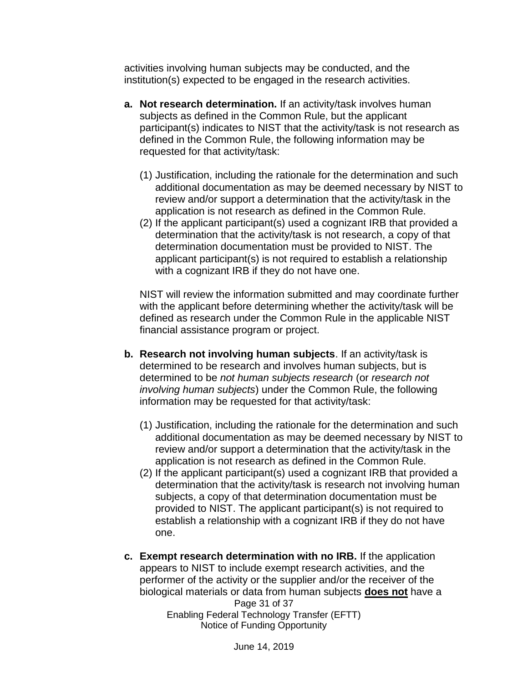activities involving human subjects may be conducted, and the institution(s) expected to be engaged in the research activities.

- **a. Not research determination.** If an activity/task involves human subjects as defined in the Common Rule, but the applicant participant(s) indicates to NIST that the activity/task is not research as defined in the Common Rule, the following information may be requested for that activity/task:
	- (1) Justification, including the rationale for the determination and such additional documentation as may be deemed necessary by NIST to review and/or support a determination that the activity/task in the application is not research as defined in the Common Rule.
	- (2) If the applicant participant(s) used a cognizant IRB that provided a determination that the activity/task is not research, a copy of that determination documentation must be provided to NIST. The applicant participant(s) is not required to establish a relationship with a cognizant IRB if they do not have one.

NIST will review the information submitted and may coordinate further with the applicant before determining whether the activity/task will be defined as research under the Common Rule in the applicable NIST financial assistance program or project.

- **b. Research not involving human subjects**. If an activity/task is determined to be research and involves human subjects, but is determined to be *not human subjects research* (or *research not involving human subjects*) under the Common Rule, the following information may be requested for that activity/task:
	- (1) Justification, including the rationale for the determination and such additional documentation as may be deemed necessary by NIST to review and/or support a determination that the activity/task in the application is not research as defined in the Common Rule.
	- (2) If the applicant participant(s) used a cognizant IRB that provided a determination that the activity/task is research not involving human subjects, a copy of that determination documentation must be provided to NIST. The applicant participant(s) is not required to establish a relationship with a cognizant IRB if they do not have one.
- Page 31 of 37 Enabling Federal Technology Transfer (EFTT) Notice of Funding Opportunity **c. Exempt research determination with no IRB.** If the application appears to NIST to include exempt research activities, and the performer of the activity or the supplier and/or the receiver of the biological materials or data from human subjects **does not** have a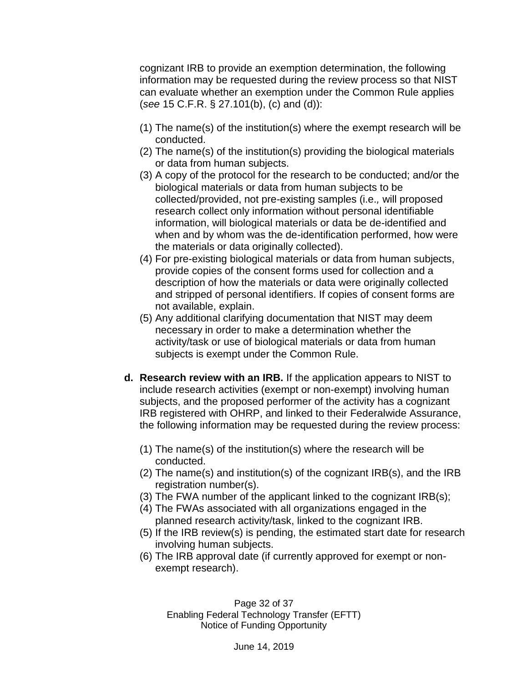cognizant IRB to provide an exemption determination, the following information may be requested during the review process so that NIST can evaluate whether an exemption under the Common Rule applies (*see* 15 C.F.R. § 27.101(b), (c) and (d)):

- (1) The name(s) of the institution(s) where the exempt research will be conducted.
- (2) The name(s) of the institution(s) providing the biological materials or data from human subjects.
- (3) A copy of the protocol for the research to be conducted; and/or the biological materials or data from human subjects to be collected/provided, not pre-existing samples (i.e.*,* will proposed research collect only information without personal identifiable information, will biological materials or data be de-identified and when and by whom was the de-identification performed, how were the materials or data originally collected).
- (4) For pre-existing biological materials or data from human subjects, provide copies of the consent forms used for collection and a description of how the materials or data were originally collected and stripped of personal identifiers. If copies of consent forms are not available, explain.
- (5) Any additional clarifying documentation that NIST may deem necessary in order to make a determination whether the activity/task or use of biological materials or data from human subjects is exempt under the Common Rule.
- **d. Research review with an IRB.** If the application appears to NIST to include research activities (exempt or non-exempt) involving human subjects, and the proposed performer of the activity has a cognizant IRB registered with OHRP, and linked to their Federalwide Assurance, the following information may be requested during the review process:
	- (1) The name(s) of the institution(s) where the research will be conducted.
	- (2) The name(s) and institution(s) of the cognizant IRB(s), and the IRB registration number(s).
	- (3) The FWA number of the applicant linked to the cognizant IRB(s);
	- (4) The FWAs associated with all organizations engaged in the planned research activity/task, linked to the cognizant IRB.
	- (5) If the IRB review(s) is pending, the estimated start date for research involving human subjects.
	- (6) The IRB approval date (if currently approved for exempt or nonexempt research).

Page 32 of 37 Enabling Federal Technology Transfer (EFTT) Notice of Funding Opportunity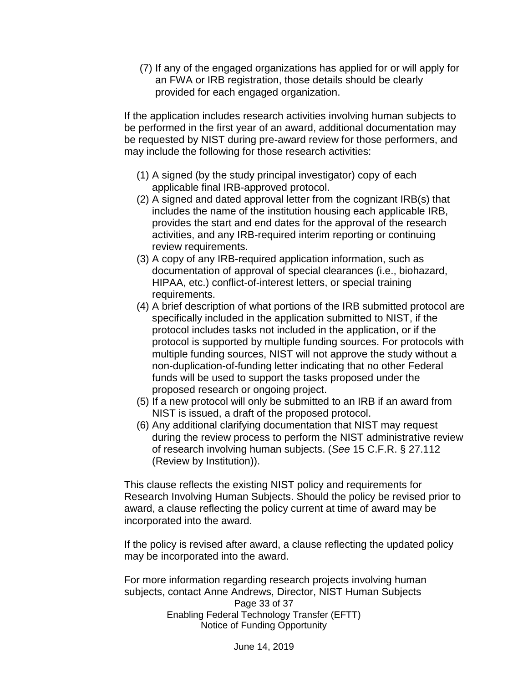(7) If any of the engaged organizations has applied for or will apply for an FWA or IRB registration, those details should be clearly provided for each engaged organization.

If the application includes research activities involving human subjects to be performed in the first year of an award, additional documentation may be requested by NIST during pre-award review for those performers, and may include the following for those research activities:

- (1) A signed (by the study principal investigator) copy of each applicable final IRB-approved protocol.
- (2) A signed and dated approval letter from the cognizant IRB(s) that includes the name of the institution housing each applicable IRB, provides the start and end dates for the approval of the research activities, and any IRB-required interim reporting or continuing review requirements.
- (3) A copy of any IRB-required application information, such as documentation of approval of special clearances (i.e., biohazard, HIPAA, etc.) conflict-of-interest letters, or special training requirements.
- (4) A brief description of what portions of the IRB submitted protocol are specifically included in the application submitted to NIST, if the protocol includes tasks not included in the application, or if the protocol is supported by multiple funding sources. For protocols with multiple funding sources, NIST will not approve the study without a non-duplication-of-funding letter indicating that no other Federal funds will be used to support the tasks proposed under the proposed research or ongoing project.
- (5) If a new protocol will only be submitted to an IRB if an award from NIST is issued, a draft of the proposed protocol.
- (6) Any additional clarifying documentation that NIST may request during the review process to perform the NIST administrative review of research involving human subjects. (*See* 15 C.F.R. § 27.112 (Review by Institution)).

This clause reflects the existing NIST policy and requirements for Research Involving Human Subjects. Should the policy be revised prior to award, a clause reflecting the policy current at time of award may be incorporated into the award.

If the policy is revised after award, a clause reflecting the updated policy may be incorporated into the award.

Page 33 of 37 Enabling Federal Technology Transfer (EFTT) Notice of Funding Opportunity For more information regarding research projects involving human subjects, contact Anne Andrews, Director, NIST Human Subjects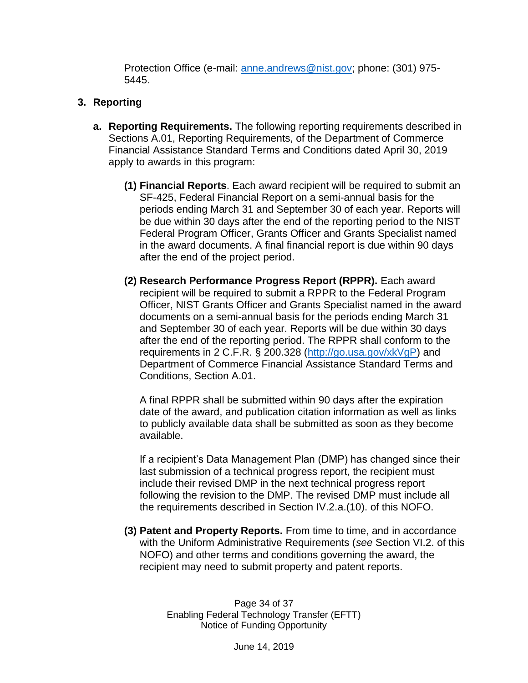Protection Office (e-mail: [anne.andrews@nist.gov;](mailto:anne.andrews@nist.gov) phone: (301) 975- 5445.

### **3. Reporting**

- **a. Reporting Requirements.** The following reporting requirements described in Sections A.01, Reporting Requirements, of the Department of Commerce Financial Assistance Standard Terms and Conditions dated April 30, 2019 apply to awards in this program:
	- **(1) Financial Reports**. Each award recipient will be required to submit an SF-425, Federal Financial Report on a semi-annual basis for the periods ending March 31 and September 30 of each year. Reports will be due within 30 days after the end of the reporting period to the NIST Federal Program Officer, Grants Officer and Grants Specialist named in the award documents. A final financial report is due within 90 days after the end of the project period.
	- **(2) Research Performance Progress Report (RPPR).** Each award recipient will be required to submit a RPPR to the Federal Program Officer, NIST Grants Officer and Grants Specialist named in the award documents on a semi-annual basis for the periods ending March 31 and September 30 of each year. Reports will be due within 30 days after the end of the reporting period. The RPPR shall conform to the requirements in 2 C.F.R. § 200.328 [\(http://go.usa.gov/xkVgP\)](http://go.usa.gov/xkVgP) and Department of Commerce Financial Assistance Standard Terms and Conditions, Section A.01.

A final RPPR shall be submitted within 90 days after the expiration date of the award, and publication citation information as well as links to publicly available data shall be submitted as soon as they become available.

If a recipient's Data Management Plan (DMP) has changed since their last submission of a technical progress report, the recipient must include their revised DMP in the next technical progress report following the revision to the DMP. The revised DMP must include all the requirements described in Section IV.2.a.(10). of this NOFO.

**(3) Patent and Property Reports.** From time to time, and in accordance with the Uniform Administrative Requirements (*see* Section VI.2. of this NOFO) and other terms and conditions governing the award, the recipient may need to submit property and patent reports.

> Page 34 of 37 Enabling Federal Technology Transfer (EFTT) Notice of Funding Opportunity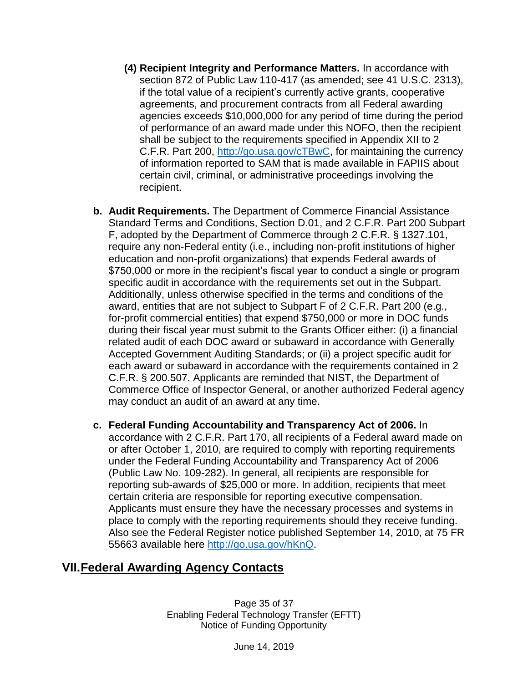- **(4) Recipient Integrity and Performance Matters.** In accordance with section 872 of Public Law 110-417 (as amended; see 41 U.S.C. 2313), if the total value of a recipient's currently active grants, cooperative agreements, and procurement contracts from all Federal awarding agencies exceeds \$10,000,000 for any period of time during the period of performance of an award made under this NOFO, then the recipient shall be subject to the requirements specified in Appendix XII to 2 C.F.R. Part 200, [http://go.usa.gov/cTBwC,](http://go.usa.gov/cTBwC) for maintaining the currency of information reported to SAM that is made available in FAPIIS about certain civil, criminal, or administrative proceedings involving the recipient.
- **b. Audit Requirements.** The Department of Commerce Financial Assistance Standard Terms and Conditions, Section D.01, and 2 C.F.R. Part 200 Subpart F, adopted by the Department of Commerce through 2 C.F.R. § 1327.101, require any non-Federal entity (i.e., including non-profit institutions of higher education and non-profit organizations) that expends Federal awards of \$750,000 or more in the recipient's fiscal year to conduct a single or program specific audit in accordance with the requirements set out in the Subpart. Additionally, unless otherwise specified in the terms and conditions of the award, entities that are not subject to Subpart F of 2 C.F.R. Part 200 (e.g., for-profit commercial entities) that expend \$750,000 or more in DOC funds during their fiscal year must submit to the Grants Officer either: (i) a financial related audit of each DOC award or subaward in accordance with Generally Accepted Government Auditing Standards; or (ii) a project specific audit for each award or subaward in accordance with the requirements contained in 2 C.F.R. § 200.507. Applicants are reminded that NIST, the Department of Commerce Office of Inspector General, or another authorized Federal agency may conduct an audit of an award at any time.
- **c. Federal Funding Accountability and Transparency Act of 2006.** In accordance with 2 C.F.R. Part 170, all recipients of a Federal award made on or after October 1, 2010, are required to comply with reporting requirements under the Federal Funding Accountability and Transparency Act of 2006 (Public Law No. 109-282). In general, all recipients are responsible for reporting sub-awards of \$25,000 or more. In addition, recipients that meet certain criteria are responsible for reporting executive compensation. Applicants must ensure they have the necessary processes and systems in place to comply with the reporting requirements should they receive funding. Also see the Federal Register notice published September 14, 2010, at 75 FR 55663 available here [http://go.usa.gov/hKnQ.](http://go.usa.gov/hKnQ)

# <span id="page-34-0"></span>**VII.Federal Awarding Agency Contacts**

Page 35 of 37 Enabling Federal Technology Transfer (EFTT) Notice of Funding Opportunity

June 14, 2019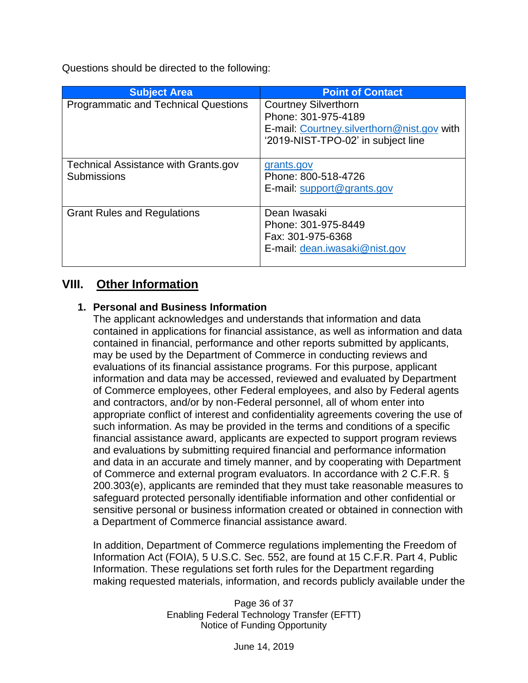Questions should be directed to the following:

| <b>Subject Area</b>                                        | <b>Point of Contact</b>                                                                                                                |
|------------------------------------------------------------|----------------------------------------------------------------------------------------------------------------------------------------|
| <b>Programmatic and Technical Questions</b>                | <b>Courtney Silverthorn</b><br>Phone: 301-975-4189<br>E-mail: Courtney.silverthorn@nist.gov with<br>'2019-NIST-TPO-02' in subject line |
| <b>Technical Assistance with Grants.gov</b><br>Submissions | grants.gov<br>Phone: 800-518-4726<br>E-mail: support@grants.gov                                                                        |
| <b>Grant Rules and Regulations</b>                         | Dean Iwasaki<br>Phone: 301-975-8449<br>Fax: 301-975-6368<br>E-mail: dean.iwasaki@nist.gov                                              |

# <span id="page-35-0"></span>**VIII. Other Information**

### **1. Personal and Business Information**

The applicant acknowledges and understands that information and data contained in applications for financial assistance, as well as information and data contained in financial, performance and other reports submitted by applicants, may be used by the Department of Commerce in conducting reviews and evaluations of its financial assistance programs. For this purpose, applicant information and data may be accessed, reviewed and evaluated by Department of Commerce employees, other Federal employees, and also by Federal agents and contractors, and/or by non-Federal personnel, all of whom enter into appropriate conflict of interest and confidentiality agreements covering the use of such information. As may be provided in the terms and conditions of a specific financial assistance award, applicants are expected to support program reviews and evaluations by submitting required financial and performance information and data in an accurate and timely manner, and by cooperating with Department of Commerce and external program evaluators. In accordance with 2 C.F.R. § 200.303(e), applicants are reminded that they must take reasonable measures to safeguard protected personally identifiable information and other confidential or sensitive personal or business information created or obtained in connection with a Department of Commerce financial assistance award.

In addition, Department of Commerce regulations implementing the Freedom of Information Act (FOIA), 5 U.S.C. Sec. 552, are found at 15 C.F.R. Part 4, Public Information. These regulations set forth rules for the Department regarding making requested materials, information, and records publicly available under the

> Page 36 of 37 Enabling Federal Technology Transfer (EFTT) Notice of Funding Opportunity